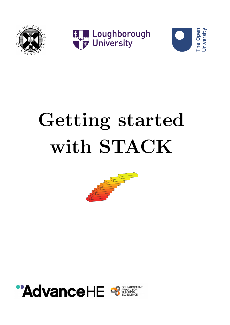<span id="page-0-0"></span>

EL Loughborough



# $\blacksquare$ Getting started with STACK



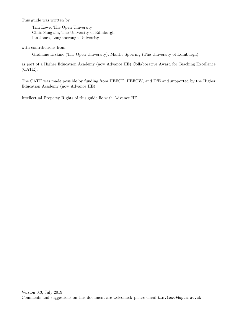This guide was written by

Tim Lowe, The Open University Chris Sangwin, The University of Edinburgh Ian Jones, Loughborough University

with contributions from

Grahame Erskine (The Open University), Malthe Sporring (The University of Edinburgh)

as part of a Higher Education Academy (now Advance HE) Collaborative Award for Teaching Excellence (CATE).

The CATE was made possible by funding from HEFCE, HEFCW, and DfE and supported by the Higher Education Academy (now Advance HE)

Intellectual Property Rights of this guide lie with Advance HE.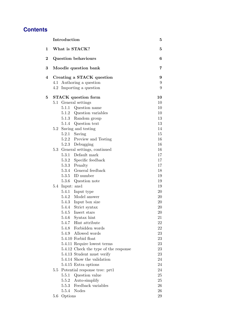## **Contents**

|                | Introduction                          | 5      |
|----------------|---------------------------------------|--------|
| $\mathbf{1}$   | What is STACK?                        | 5      |
| $\overline{2}$ | <b>Question behaviours</b>            | 6      |
| 3              | Moodle question bank                  | 7      |
| $\overline{4}$ | Creating a STACK question             | 9      |
|                | 4.1 Authoring a question              | 9      |
|                | 4.2 Importing a question              | 9      |
| $\mathbf{5}$   | <b>STACK</b> question form            | 10     |
|                | 5.1 General settings                  | 10     |
|                | Question name<br>5.1.1                | 10     |
|                | 5.1.2 Question variables              | 10     |
|                | 5.1.3 Random group                    | 13     |
|                | 5.1.4 Question text                   | 13     |
|                | Saving and testing<br>5.2             | 14     |
|                | 5.2.1 Saving                          | 15     |
|                | 5.2.2 Preview and Testing             | 16     |
|                | 5.2.3 Debugging                       | 16     |
|                | 5.3 General settings, continued       | 16     |
|                | 5.3.1 Default mark                    | 17     |
|                | 5.3.2 Specific feedback               | 17     |
|                | 5.3.3 Penalty                         | 17     |
|                | 5.3.4 General feedback                | 18     |
|                | 5.3.5 ID number                       | 19     |
|                | 5.3.6<br>Question note                | 19     |
|                | 5.4 Input: ans1                       | 19     |
|                | 5.4.1 Input type                      | 20     |
|                | 5.4.2 Model answer                    | 20     |
|                | 5.4.3 Input box size                  | 20     |
|                | 5.4.4<br>Strict syntax                | 20     |
|                | 5.4.5<br>Insert stars                 | 20     |
|                | 5.4.6<br>Syntax hint                  | 21     |
|                | 5.4.7 Hint attribute                  | 22     |
|                | 5.4.8 Forbidden words                 | 22     |
|                | 5.4.9 Allowed words                   | 23     |
|                | 5.4.10 Forbid float                   | 23     |
|                | 5.4.11 Require lowest terms           | 23     |
|                | 5.4.12 Check the type of the response | 23     |
|                | 5.4.13 Student must verify            | 23     |
|                | 5.4.14 Show the validation            | 24     |
|                | 5.4.15 Extra options                  | 24     |
|                | 5.5 Potential response tree: prt1     | 24     |
|                | 5.5.1<br>Question value               | 25     |
|                | 5.5.2 Auto-simplify                   | 25     |
|                | 5.5.3 Feedback variables              | 26     |
|                | <b>Nodes</b><br>5.5.4                 | $26\,$ |
|                | 5.6 Options                           | 29     |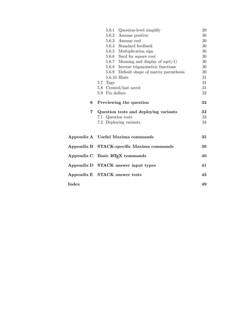|                | 5.6.1 Question-level simplify             |  | 29 |
|----------------|-------------------------------------------|--|----|
|                | 5.6.2 Assume positive                     |  | 30 |
|                | 5.6.3 Assume real                         |  | 30 |
|                | 5.6.4 Standard feedback                   |  | 30 |
|                | 5.6.5 Multiplication sign                 |  | 30 |
|                | 5.6.6 Surd for square root                |  | 30 |
|                | 5.6.7 Meaning and display of $sqrt(-1)$   |  | 30 |
|                | 5.6.8 Inverse trigonometric functions     |  | 30 |
|                | 5.6.9 Default shape of matrix parenthesis |  | 30 |
|                | 5.6.10 Hints                              |  | 31 |
|                | 5.7 Tags                                  |  | 31 |
|                | 5.8 Created/last saved                    |  | 31 |
|                | 5.9 Fix dollars                           |  | 32 |
| 6              | Previewing the question                   |  | 32 |
| $\overline{7}$ | Question tests and deploying variants     |  | 32 |
|                | 7.1 Question tests                        |  | 33 |
|                | 7.2 Deploying variants                    |  | 34 |
|                |                                           |  |    |
|                | Appendix A Useful Maxima commands         |  | 35 |
| Appendix B     | <b>STACK-specific Maxima commands</b>     |  | 39 |
| Appendix C     | Basic IATFX commands                      |  | 40 |
| Appendix D     | <b>STACK</b> answer input types           |  | 41 |
|                | Appendix E STACK answer tests             |  | 43 |
| Index          |                                           |  | 49 |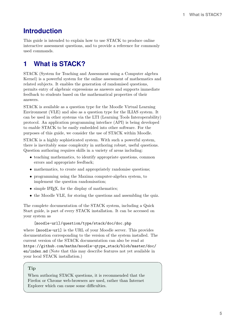## <span id="page-4-1"></span>**Introduction**

This guide is intended to explain how to use STACK to produce online interactive assessment questions, and to provide a reference for commonly used commands.

## <span id="page-4-0"></span>**1 What is STACK?**

STACK (System for Teaching and Assessment using a Computer algebra Kernel) is a powerful system for the online assessment of mathematics and related subjects. It enables the generation of randomised questions, permits entry of algebraic expressions as answers and supports immediate feedback to students based on the mathematical properties of their answers.

STACK is available as a question type for the Moodle Virtual Learning Environment (VLE) and also as a question type for the ILIAS system. It can be used in other systems via the LTI (Learning Tools Interoperability) protocol. An application programming interface (API) is being developed to enable STACK to be easily embedded into other software. For the purposes of this guide, we consider the use of STACK within Moodle.

STACK is a highly sophisticated system. With such a powerful system, there is inevitably some complexity in authoring robust, useful questions. Question authoring requires skills in a variety of areas including:

- teaching mathematics, to identify appropriate questions, common errors and appropriate feedback;
- mathematics, to create and appropriately randomise questions;
- programming using the Maxima computer-algebra system, to implement the question randomisation;
- simple IAT<sub>EX</sub>, for the display of mathematics;
- the Moodle VLE, for storing the questions and assembling the quiz.

The complete documentation of the STACK system, including a Quick Start guide, is part of every STACK installation. It can be accessed on your system as

[moodle-url]/question/type/stack/doc/doc.php

where [moodle-url] is the URL of your Moodle server. This provides documentation corresponding to the version of the system installed. The current version of the STACK documentation can also be read at [https://github.com/maths/moodle-qtype\\_stack/blob/master/doc/](https://github.com/maths/moodle-qtype_stack/blob/master/doc/en/index.md) [en/index.md](https://github.com/maths/moodle-qtype_stack/blob/master/doc/en/index.md) (Note that this may describe features not yet available in your local STACK installation.)

### Tip

When authoring STACK questions, it is recommended that the Firefox or Chrome web-browsers are used, rather than Internet Explorer which can cause some difficulties.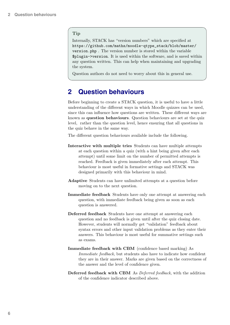#### <span id="page-5-1"></span>Tip

Internally, STACK has "version numbers" which are specified at [https://github.com/maths/moodle-qtype\\_stack/blob/master/](https://github.com/maths/moodle-qtype_stack/blob/master/version.php) [version.php](https://github.com/maths/moodle-qtype_stack/blob/master/version.php) . The version number is stored within the variable \$plugin->version. It is used within the software, and is saved within any question written. This can help when maintaining and upgrading the system.

Question authors do not need to worry about this in general use.

## <span id="page-5-0"></span>**2 Question behaviours**

Before beginning to create a STACK question, it is useful to have a little understanding of the different ways in which Moodle quizzes can be used, since this can influence how questions are written. These different ways are known as question behaviours. Question behaviours are set at the quiz level, rather than the question level, hence ensuring that all questions in the quiz behave in the same way.

The different question behaviours available include the following.

- Interactive with multiple tries Students can have multiple attempts at each question within a quiz (with a hint being given after each attempt) until some limit on the number of permitted attempts is reached. Feedback is given immediately after each attempt. This behaviour is most useful in formative settings and STACK was designed primarily with this behaviour in mind.
- Adaptive Students can have unlimited attempts at a question before moving on to the next question.
- Immediate feedback Students have only one attempt at answering each question, with immediate feedback being given as soon as each question is answered.
- Deferred feedback Students have one attempt at answering each question and no feedback is given until after the quiz closing date. However, students will normally get "validation" feedback about syntax errors and other input validation problems as they enter their answers. This behaviour is most useful for summative settings such as exams.
- Immediate feedback with CBM (confidence based marking) As Immediate feedback, but students also have to indicate how confident they are in their answer. Marks are given based on the correctness of the answer and the level of confidence given.
- Deferred feedback with CBM As Deferred feedback, with the addition of the confidence indicator described above.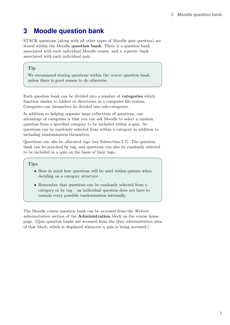## <span id="page-6-1"></span><span id="page-6-0"></span>**3 Moodle question bank**

STACK questions (along with all other types of Moodle quiz question) are stored within the Moodle question bank. There is a question bank associated with each individual Moodle course, and a separate bank associated with each individual quiz.

### Tip

We recommend storing questions within the *course* question bank, unless there is good reason to do otherwise.

Each question bank can be divided into a number of categories which function similar to folders or directories in a computer file system. Categories can themselves be divided into sub-categories.

In addition to helping organise large collections of questions, one advantage of categories is that you can ask Moodle to select a random question from a specified category to be included within a quiz. So questions can be randomly selected from within a category in addition to including randomisation themselves.

Questions can also be allocated tags (see Subsection [5.7\)](#page-30-1). The question bank can be searched by tag, and questions can also be randomly selected to be included in a quiz on the basis of their tags.

### **Tips**

- Bear in mind how questions will be used within quizzes when deciding on a category structure.
- Remember that questions can be randomly selected from a category or by tag – an individual question does not have to contain every possible randomisation internally.

The Moodle course question bank can be accessed from the Website administration section of the Administration block on the course home page. (Quiz question banks are accessed from the Quiz administration area of that block, which is displayed whenever a quiz is being accessed.)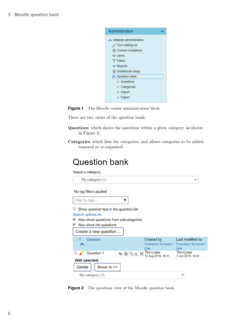<span id="page-7-1"></span>



There are two views of the question bank:

- Questions which shows the questions within a given category, as shown in Figure [2;](#page-7-0)
- Categories which lists the categories, and allows categories to be added, removed or re-organised.

## <span id="page-7-0"></span>**Question bank**

Select a category:

| My category (1)                         |                                | ▼                                    |  |  |
|-----------------------------------------|--------------------------------|--------------------------------------|--|--|
| No tag filters applied                  |                                |                                      |  |  |
| Filter by tags                          |                                |                                      |  |  |
| Show question text in the question list |                                |                                      |  |  |
| Search options $\bigwedge$              |                                |                                      |  |  |
| Also show questions from subcategories  |                                |                                      |  |  |
| Also show old questions                 |                                |                                      |  |  |
| Create a new question                   |                                |                                      |  |  |
| Question                                | Created by                     | Last modified by                     |  |  |
|                                         | Forename / Surname /           | Forename / Surname /                 |  |  |
|                                         | <b>Date</b>                    | <b>Date</b>                          |  |  |
| Question 1<br>O                         | Tim Lowe<br>14 Aug 2018, 16:11 | <b>Tim Lowe</b><br>5 Jun 2019, 16:37 |  |  |
| With selected:                          |                                |                                      |  |  |
| Move to $\ge$<br><b>Delete</b>          |                                |                                      |  |  |
| My category (1)<br>▼                    |                                |                                      |  |  |

**Figure 2** The questions view of the Moodle question bank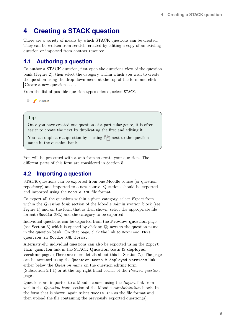## <span id="page-8-3"></span><span id="page-8-0"></span>**4 Creating a STACK question**

There are a variety of means by which STACK questions can be created. They can be written from scratch, created by editing a copy of an existing question or imported from another resource.

## <span id="page-8-1"></span>**4.1 Authoring a question**

To author a STACK question, first open the questions view of the question bank (Figure [2\)](#page-7-0), then select the category within which you wish to create the question using the drop-down menu at the top of the form and click Create a new question  $\dots$ 

From the list of possible question types offered, select STACK.

STACK

### Tip

Once you have created one question of a particular genre, it is often easier to create the next by duplicating the first and editing it.

You can duplicate a question by clicking  $\Box \Box$  next to the question name in the question bank.

You will be presented with a web-form to create your question. The different parts of this form are considered in Section [5.](#page-9-0)

## <span id="page-8-2"></span>**4.2 Importing a question**

STACK questions can be exported from one Moodle course (or question repository) and imported to a new course. Questions should be exported and imported using the Moodle XML file format.

To export all the questions within a given category, select Export from within the *Question bank* section of the Moodle *Administration* block (see Figure [1\)](#page-7-1) and on the form that is then shown, select the appropriate file format (Moodle XML) and the category to be exported.

Individual questions can be exported from the Preview question page (see Section [6\)](#page-31-1) which is opened by clicking  $\bullet$  next to the question name in the question bank. On that page, click the link to Download this question in Moodle XML format.

Alternatively, individual questions can also be exported using the Export this question link in the STACK Question tests & deployed versions page. (There are more details about this in Section [7.](#page-31-2)) The page can be accessed using the Question tests & deployed versions link either below the Question name on the question editing form (Subsection [5.1.1\)](#page-9-2) or at the top right-hand corner of the Preview question page .

Questions are imported to a Moodle course using the Import link from within the *Question bank* section of the Moodle *Administration* block. In the form that is shown, again select Moodle XML as the file format and then upload the file containing the previously exported question(s).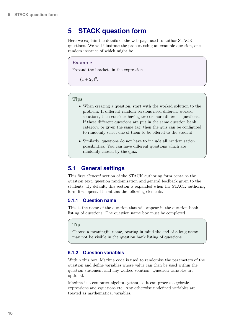## <span id="page-9-4"></span><span id="page-9-0"></span>**5 STACK question form**

Here we explain the details of the web-page used to author STACK questions. We will illustrate the process using an example question, one random instance of which might be

#### Example

Expand the brackets in the expression

 $(x+2y)^2$ .

#### **Tips**

- When creating a question, start with the worked solution to the problem. If different random versions need different worked solutions, then consider having two or more different questions. If these different questions are put in the same question bank category, or given the same tag, then the quiz can be configured to randomly select one of them to be offered to the student.
- Similarly, questions do not have to include all randomisation possibilities. You can have different questions which are randomly chosen by the quiz.

## <span id="page-9-1"></span>**5.1 General settings**

This first General section of the STACK authoring form contains the question text, question randomisation and general feedback given to the students. By default, this section is expanded when the STACK authoring form first opens. It contains the following elements.

#### <span id="page-9-2"></span>**5.1.1 Question name**

This is the name of the question that will appear in the question bank listing of questions. The question name box must be completed.

#### Tip

Choose a meaningful name, bearing in mind the end of a long name may not be visible in the question bank listing of questions.

#### <span id="page-9-3"></span>**5.1.2 Question variables**

Within this box, Maxima code is used to randomise the parameters of the question and define variables whose value can then be used within the question statement and any worked solution. Question variables are optional.

Maxima is a computer-algebra system, so it can process algebraic expressions and equations etc. Any otherwise undefined variables are treated as mathematical variables.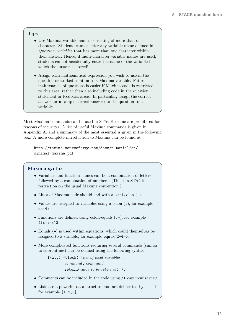### <span id="page-10-0"></span>**Tips**

- Use Maxima variable names consisting of more than one character. Students cannot enter any variable name defined in Question variables that has more than one character within their answer. Hence, if multi-character variable names are used, students cannot accidentally enter the name of the variable in which the answer is stored!
- Assign each mathematical expression you wish to use in the question or worked solution to a Maxima variable. Future maintenance of questions is easier if Maxima code is restricted to this area, rather than also including code in the question statement or feedback areas. In particular, assign the correct answer (or a sample correct answer) to the question to a variable.

Most Maxima commands can be used in STACK (some are prohibited for reasons of security). A list of useful Maxima commands is given in [Appendix A,](#page-34-0) and a summary of the most essential is given in the following box. A more complete introduction to Maxima can be found at

[http://maxima.sourceforge.net/docs/tutorial/en/](http://maxima.sourceforge.net/docs/tutorial/en/minimal-maxima.pdf) [minimal-maxima.pdf](http://maxima.sourceforge.net/docs/tutorial/en/minimal-maxima.pdf)

#### Maxima syntax

- Variables and function names can be a combination of letters followed by a combination of numbers. (This is a STACK restriction on the usual Maxima convention.)
- Lines of Maxima code should end with a semi-colon  $($ ;  $).$
- Values are assigned to variables using a colon (:), for example aa:4;
- Functions are defined using colon-equals  $(:=)$ , for example  $f(x):=x^2$ ;
- Equals (=) is used within equations, which could themselves be assigned to a variable, for example  $eqn:x^2-4=0$ ;
- More complicated functions requiring several commands (similar to subroutines) can be defined using the following syntax

 $f(x,y)$ :=block([list of local variables], command, command, return(value to be returned));

- Comments can be included in the code using  $/* comment text */$
- $\bullet$  Lists are a powerful data structure and are delineated by  $[$   $\ldots ]$  , for example  $[1,2,3]$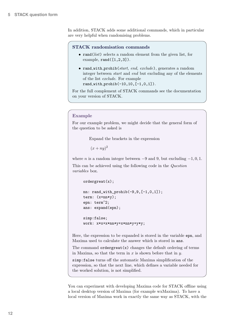<span id="page-11-0"></span>In addition, STACK adds some additional commands, which in particular are very helpful when randomising problems.

#### STACK randomisation commands

- rand(*list*) selects a random element from the given list, for example,  $rand([1,2,3])$ .
- rand with prohib(start, end, exclude), generates a random integer between start and end but excluding any of the elements of the list exclude. For example  $rand_with_probib(-10, 10, [-1, 0, 1]).$

For the full complement of STACK commands see the documentation on your version of STACK.

#### Example

For our example problem, we might decide that the general form of the question to be asked is

Expand the brackets in the expression

 $(x+ny)^2$ 

where *n* is a random integer between  $-9$  and 9, but excluding  $-1, 0, 1$ .

This can be achieved using the following code in the Question variables box.

```
ordergreat(x);
```

```
nn: rand_with_prohib(-9,9,[-1,0,1]);
term: (x+nn*y);
epn: term∧2;
ans: expand(epn);
simp:false;
```
work: x\*x+x\*nn\*y+x\*nn\*y+y\*y;

Here, the expression to be expanded is stored in the variable epn, and Maxima used to calculate the answer which is stored in ans.

The command  $order<sub>gr</sub>(x)$  changes the default ordering of terms in Maxima, so that the term in  $x$  is shown before that in  $y$ .

simp:false turns off the automatic Maxima simplification of the expression, so that the next line, which defines a variable needed for the worked solution, is not simplified.

You can experiment with developing Maxima code for STACK offline using a local desktop version of Maxima (for example [wxMaxima\)](http://andrejv.github.io/wxmaxima/). To have a local version of Maxima work in exactly the same way as STACK, with the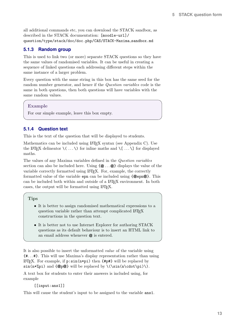<span id="page-12-2"></span>all additional commands etc, you can download the STACK sandbox, as described in the STACK documentation: [moodle-url]/ question/type/stack/doc/doc.php/CAS/STACK-Maxima sandbox.md

### <span id="page-12-0"></span>**5.1.3 Random group**

This is used to link two (or more) separate STACK questions so they have the same values of randomised variables. It can be useful in creating a sequence of linked questions each addressing different steps within the same instance of a larger problem.

Every question with the same string in this box has the same seed for the random number generator, and hence if the Question variables code is the same in both questions, then both questions will have variables with the same random values.

#### Example

For our simple example, leave this box empty.

### <span id="page-12-1"></span>**5.1.4 Question text**

This is the text of the question that will be displayed to students.

Mathematics can be included using LAT<sub>EX</sub> syntax (see [Appendix C\)](#page-39-0). Use the LAT<sub>EX</sub> delineator  $\langle \ldots \rangle$  for inline maths and  $\langle \ldots \rangle$  for displayed maths.

The values of any Maxima variables defined in the Question variables section can also be included here. Using  $\{\mathbfsymbol{\mathcal{Q}}\}\$  displays the value of the variable correctly formatted using LATEX. For, example, the correctly formatted value of the variable epn can be included using  $\{\phi$ epn $\phi\}$ . This can be included both within and outside of a LATEX environment. In both cases, the output will be formatted using LAT<sub>EX</sub>.

#### **Tips**

- It is better to assign randomised mathematical expressions to a question variable rather than attempt complicated LATEX constructions in the question text.
- It is better not to use Internet Explorer for authoring STACK questions as its default behaviour is to insert an HTML link to an email address whenever @ is entered.

It is also possible to insert the unformatted value of the variable using {#. . . #}. This will use Maxima's display representation rather than using LAT<sub>EX</sub>. For example, if  $p:sin(n * pi)$  then  ${#p#}$  will be replaced by  $\sin(n\frac{p}{p})$  and  $\{\mathcal{Q}_p\}\$  will be replaced by  $\(\sin(n\cdot\frac{p}{p})\).$ 

A text box for students to enter their answers is included using, for example

#### [[input:ans1]]

This will cause the student's input to be assigned to the variable ans1.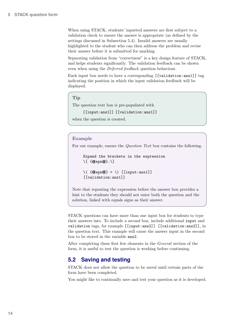<span id="page-13-1"></span>When using STACK, students' inputted answers are first subject to a validation check to ensure the answer is appropriate (as defined by the settings discussed in Subsection [5.4\)](#page-18-2). Invalid answers are usually highlighted to the student who can then address the problem and revise their answer before it is submitted for marking.

Separating validation from "correctness" is a key design feature of STACK, and helps students significantly. The validation feedback can be shown even when using the Deferred feedback question behaviour.

Each input box needs to have a corresponding [[validation:ans1]] tag indicating the position in which the input validation feedback will be displayed.

```
Tip
```
The question text box is pre-populated with

[[input:ans1]] [[validation:ans1]]

```
when the question is created.
```
#### Example

For our example, ensure the Question Text box contains the following.

```
Expand the brackets in the expression
\[ {@epn@}.\]
```

```
\setminus ( \{\textcircled{eepn@} \} = \setminus [[input:ans1]]
[[validation:ans1]]
```
Note that repeating the expression before the answer box provides a hint to the students they should not enter both the question and the solution, linked with equals signs as their answer.

STACK questions can have more than one input box for students to type their answers into. To include a second box, include additional input and validation tags, for example [[input:ans2]] [[validation:ans2]], in the question text. This example will cause the answer input in the second box to be stored in the variable ans2.

After completing these first few elements in the General section of the form, it is useful to test the question is working before continuing.

### <span id="page-13-0"></span>**5.2 Saving and testing**

STACK does not allow the question to be saved until certain parts of the form have been completed.

You might like to continually save and test your question as it is developed.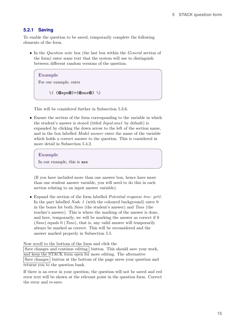### <span id="page-14-1"></span><span id="page-14-0"></span>**5.2.1 Saving**

To enable the question to be saved, temporarily complete the following elements of the form.

• In the *Question note* box (the last box within the *General* section of the form) enter some text that the system will use to distinguish between different random versions of the question.

#### Example

For our example, enter

 $\setminus$  (  $\{\textcircled{e}$ epn $\textcircled{e}$  ) = { $\textcircled{e}$  ans $\textcircled{e}$   $\setminus$   $\setminus$ 

This will be considered further in Subsection [5.3.6.](#page-18-1)

• Ensure the section of the form corresponding to the variable in which the student's answer is stored (titled Input:ans1 by default) is expanded by clicking the down arrow to the left of the section name, and in the box labelled Model answer enter the name of the variable which holds a correct answer to the question. This is considered in more detail in Subsection [5.4.2.](#page-19-1)

#### Example

In our example, this is ans

(If you have included more than one answer box, hence have more than one student answer variable, you will need to do this in each section relating to an input answer variable).

• Expand the section of the form labelled Potential response tree: prt1. In the part labelled *Node 1* (with the coloured background) enter 0 in the boxes for both Sans (the student's answer) and Tans (the teacher's answer). This is where the marking of the answer is done, and here, temporarily, we will be marking the answer as correct if 0  $(Sans)$  equals 0 (Tans), that is, any valid answer will temporarily always be marked as correct. This will be reconsidered and the answer marked properly in Subsection [5.5.](#page-23-2)

Now scroll to the bottom of the form and click the

Save changes and continue editing button. This should save your work, and keep the STACK form open for more editing. The alternative Save changes button at the bottom of the page saves your question and returns you to the question bank.

If there is an error in your question, the question will not be saved and red error text will be shown at the relevant point in the question form. Correct the error and re-save.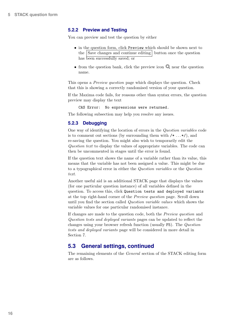### <span id="page-15-3"></span><span id="page-15-0"></span>**5.2.2 Preview and Testing**

You can preview and test the question by either

- in the question form, click Preview which should be shown next to the Save changes and continue editing button once the question has been successfully saved; or
- from the question bank, click the preview icon  $\bullet$  near the question name.

This opens a Preview question page which displays the question. Check that this is showing a correctly randomised version of your question.

If the Maxima code fails, for reasons other than syntax errors, the question preview may display the text

CAS Error: No expressions were returned.

The following subsection may help you resolve any issues.

### <span id="page-15-1"></span>**5.2.3 Debugging**

One way of identifying the location of errors in the Question variables code is to comment out sections (by surrounding them with  $/* \dots */$ ), and re-saving the question. You might also wish to temporarily edit the Question text to display the values of appropriate variables. The code can then be uncommented in stages until the error is found.

If the question text shows the name of a variable rather than its value, this means that the variable has not been assigned a value. This might be due to a typographical error in either the Question variables or the Question text.

Another useful aid is an additional STACK page that displays the values (for one particular question instance) of all variables defined in the question. To access this, click Question tests and deployed variants at the top right-hand corner of the Preview question page. Scroll down until you find the section called Question variable values which shows the variable values for one particular randomised instance.

If changes are made to the question code, both the Preview question and Question tests and deployed variants pages can be updated to reflect the changes using your browser refresh function (usually F5). The Question tests and deployed variants page will be considered in more detail in Section [7.](#page-31-2)

### <span id="page-15-2"></span>**5.3 General settings, continued**

The remaining elements of the General section of the STACK editing form are as follows.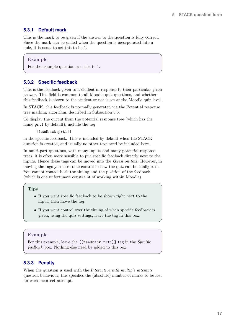### <span id="page-16-3"></span><span id="page-16-0"></span>**5.3.1 Default mark**

This is the mark to be given if the answer to the question is fully correct. Since the mark can be scaled when the question is incorporated into a quiz, it is usual to set this to be 1.

#### Example

For the example question, set this to 1.

### <span id="page-16-1"></span>**5.3.2 Specific feedback**

This is the feedback given to a student in response to their particular given answer. This field is common to all Moodle quiz questions, and whether this feedback is shown to the student or not is set at the Moodle quiz level.

In STACK, this feedback is normally generated via the Potential response tree marking algorithm, described in Subsection [5.5.](#page-23-2)

To display the output from the potential response tree (which has the name prt1 by default), include the tag

#### [[feedback:prt1]]

in the specific feedback. This is included by default when the STACK question is created, and usually no other text need be included here.

In multi-part questions, with many inputs and many potential response trees, it is often more sensible to put specific feedback directly next to the inputs. Hence these tags can be moved into the Question text. However, in moving the tags you lose some control in how the quiz can be configured. You cannot control both the timing and the position of the feedback (which is one unfortunate constraint of working within Moodle).

#### **Tips**

- If you want specific feedback to be shown right next to the input, then move the tag.
- If you want control over the timing of when specific feedback is given, using the quiz settings, leave the tag in this box.

#### Example

For this example, leave the [[feedback:prt1]] tag in the *Specific* feedback box. Nothing else need be added to this box.

#### <span id="page-16-2"></span>**5.3.3 Penalty**

When the question is used with the *Interactive with multiple attempts* question behaviour, this specifies the (absolute) number of marks to be lost for each incorrect attempt.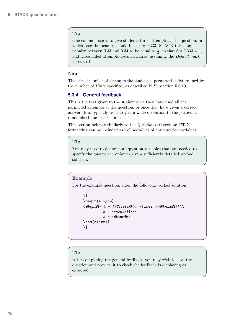#### <span id="page-17-1"></span>Tip

One common use is to give students three attempts at the question, in which case the penalty should be set to 0.333. STACK takes any penalty between 0.33 and 0.34 to be equal to  $\frac{1}{3}$ , so that  $3 \times 0.333 = 1$ , and three failed attempts loses all marks, assuming the Default mark is set to 1.

#### Note

The actual number of attempts the student is permitted is determined by the number of Hints specified, as described in Subsection [5.6.10.](#page-30-0)

### <span id="page-17-0"></span>**5.3.4 General feedback**

This is the text given to the student once they have used all their permitted attempts at the question, or once they have given a correct answer. It is typically used to give a worked solution to the particular randomised question instance asked.

This section behaves similarly to the *Question text* section: LAT<sub>E</sub>X formatting can be included as well as values of any question variables.

#### Tip

You may need to define more question variables than are needed to specify the question in order to give a sufficiently detailed worked solution.

#### Example

For the example question, enter the following worked solution

```
\setminus[
\begin{align*}
\{\mathcal{Q}epn\mathcal{Q}\ & = (\{\mathcal{Q}term\mathcal{Q}\}\) \times (\{\mathcal{Q}term\mathcal{Q}\}\) \\
                  \& = {\textcircled{a}} \text{work} \&\& = {\mathcal{Q}}ans@\end{align*}
\setminus]
```
### **Tip**

After completing the general feedback, you may wish to save the question and preview it to check the feedback is displaying as expected.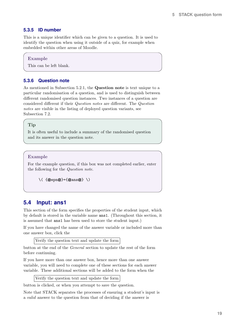#### <span id="page-18-3"></span><span id="page-18-0"></span>**5.3.5 ID number**

This is a unique identifier which can be given to a question. It is used to identify the question when using it outside of a quiz, for example when embedded within other areas of Moodle.

#### Example

This can be left blank.

#### <span id="page-18-1"></span>**5.3.6 Question note**

As mentioned in Subsection [5.2.1,](#page-14-0) the Question note is text unique to a particular randomisation of a question, and is used to distinguish between different randomised question instances. Two instances of a question are considered different if their Question notes are different. The Question notes are visible in the listing of deployed question variants, see Subsection [7.2.](#page-33-0)

#### Tip

It is often useful to include a summary of the randomised question and its answer in the question note.

#### Example

For the example question, if this box was not completed earlier, enter the following for the Question note.

```
\setminus ( {@epn@}={@ans@} \setminus)
```
### <span id="page-18-2"></span>**5.4 Input: ans1**

This section of the form specifies the properties of the student input, which by default is stored in the variable name ans1. (Throughout this section, it is assumed that ans1 has been used to store the student input.)

If you have changed the name of the answer variable or included more than one answer box, click the

Verify the question text and update the form

button at the end of the General section to update the rest of the form before continuing.

If you have more than one answer box, hence more than one answer variable, you will need to complete one of these sections for each answer variable. These additional sections will be added to the form when the

Verify the question text and update the form

button is clicked, or when you attempt to save the question.

Note that STACK separates the processes of ensuring a student's input is a valid answer to the question from that of deciding if the answer is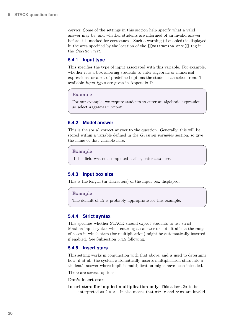<span id="page-19-5"></span>correct. Some of the settings in this section help specify what a valid answer may be, and whether students are informed of an invalid answer before it is marked for correctness. Such a warning (if enabled) is displayed in the area specified by the location of the [[validation:ans1]] tag in the Question text.

#### <span id="page-19-0"></span>**5.4.1 Input type**

This specifies the type of input associated with this variable. For example, whether it is a box allowing students to enter algebraic or numerical expressions, or a set of predefined options the student can select from. The available Input types are given in [Appendix D.](#page-40-0)

#### Example

For our example, we require students to enter an algebraic expression, so select Algebraic input.

#### <span id="page-19-1"></span>**5.4.2 Model answer**

This is the (or a) correct answer to the question. Generally, this will be stored within a variable defined in the Question variables section, so give the name of that variable here.

Example

If this field was not completed earlier, enter ans here.

#### <span id="page-19-2"></span>**5.4.3 Input box size**

This is the length (in characters) of the input box displayed.

#### Example

The default of 15 is probably appropriate for this example.

#### <span id="page-19-3"></span>**5.4.4 Strict syntax**

This specifies whether STACK should expect students to use strict Maxima input syntax when entering an answer or not. It affects the range of cases in which stars (for multiplication) might be automatically inserted, if enabled. See Subsection [5.4.5](#page-19-4) following.

#### <span id="page-19-4"></span>**5.4.5 Insert stars**

This setting works in conjunction with that above, and is used to determine how, if at all, the system automatically inserts multiplication stars into a student's answer where implicit multiplication might have been intended.

There are several options.

#### Don't insert stars

Insert stars for implied multiplication only This allows 2x to be interpreted as  $2 \times x$ . It also means that sin x and sinx are invalid.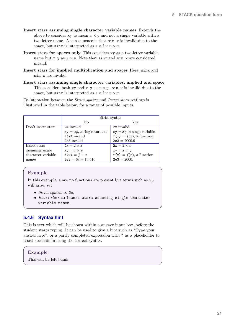- <span id="page-20-1"></span>Insert stars assuming single character variable names Extends the above to consider xy to mean  $x \times y$  and not a single variable with a two-letter name. A consequence is that sin x is invalid due to the space, but sinx is interpreted as  $s \times i \times n \times x$ .
- Insert stars for spaces only This considers xy as a two-letter variable name but x y as  $x \times y$ . Note that sinx and sin x are considered invalid.
- Insert stars for implied multiplication and spaces Here, sinx and sin x are invalid.
- Insert stars assuming single character variables, implied and space This considers both xy and x y as  $x \times y$ . sin x is invalid due to the space, but sinx is interpreted as  $s \times i \times n \times x$

To interaction between the Strict syntax and Insert stars settings is illustrated in the table below, for a range of possible inputs.

|                    |                               | Strict syntax                |
|--------------------|-------------------------------|------------------------------|
|                    | N <sub>0</sub>                | Yes                          |
| Don't insert stars | 2x invalid                    | 2x invalid                   |
|                    | $xy = xy$ , a single variable | $xy = xy$ , a singe variable |
|                    | $f(x)$ invalid                | $f(x) = f(x)$ , a function   |
|                    | 2e3 invalid                   | $2e3 = 2000.0$               |
| Insert stars       | $2x = 2 \times x$             | $2x = 2 \times x$            |
| assuming single    | $xy = x \times y$             | $xy = x \times y$            |
| character variable | $f(x) = f \times x$           | $f(x) = f(x)$ , a function   |
| names              | $2e3 = 6e \approx 16.310$     | $2e3 = 2000.$                |

#### Example

In this example, since no functions are present but terms such as  $xy$ will arise, set

- Strict syntax to No.
- Insert stars to Insert stars assuming single character variable names.

#### <span id="page-20-0"></span>**5.4.6 Syntax hint**

This is text which will be shown within a answer input box, before the student starts typing. It can be used to give a hint such as "Type your answer here", or a partly completed expression with ? as a placeholder to assist students in using the correct syntax.

#### Example

This can be left blank.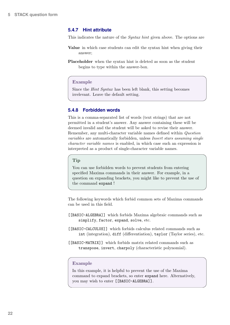#### <span id="page-21-2"></span><span id="page-21-0"></span>**5.4.7 Hint attribute**

This indicates the nature of the Syntax hint given above. The options are

- Value in which case students can edit the syntax hint when giving their answer;
- Placeholder when the syntax hint is deleted as soon as the student begins to type within the answer-box.

#### Example

Since the Hint Syntax has been left blank, this setting becomes irrelevant. Leave the default setting.

#### <span id="page-21-1"></span>**5.4.8 Forbidden words**

This is a comma-separated list of words (text strings) that are not permitted in a student's answer. Any answer containing these will be deemed invalid and the student will be asked to revise their answer. Remember, any multi-character variable names defined within Question variables are automatically forbidden, unless Insert stars assuming single character variable names is enabled, in which case such an expression is interpreted as a product of single-character variable names.

#### Tip

You can use forbidden words to prevent students from entering specified Maxima commands in their answer. For example, in a question on expanding brackets, you might like to prevent the use of the command expand !

The following keywords which forbid common sets of Maxima commands can be used in this field.

- [[BASIC-ALGEBRA]] which forbids Maxima algebraic commands such as simplify, factor, expand, solve, etc.
- [[BASIC-CALCULUS]] which forbids calculus related commands such as int (integration), diff (differentiation), taylor (Taylor series), etc.
- [[BASIC-MATRIX]] which forbids matrix related commands such as transpose, invert, charpoly (characteristic polynomial).

#### Example

In this example, it is helpful to prevent the use of the Maxima command to expand brackets, so enter expand here. Alternatively, you may wish to enter [[BASIC-ALGEBRA]].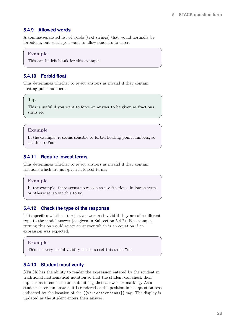### <span id="page-22-5"></span><span id="page-22-0"></span>**5.4.9 Allowed words**

A comma-separated list of words (text strings) that would normally be forbidden, but which you want to allow students to enter.

#### Example

This can be left blank for this example.

### <span id="page-22-1"></span>**5.4.10 Forbid float**

This determines whether to reject answers as invalid if they contain floating point numbers.

#### **Tip**

This is useful if you want to force an answer to be given as fractions, surds etc.

#### Example

In the example, it seems sensible to forbid floating point numbers, so set this to Yes.

#### <span id="page-22-2"></span>**5.4.11 Require lowest terms**

This determines whether to reject answers as invalid if they contain fractions which are not given in lowest terms.

#### Example

In the example, there seems no reason to use fractions, in lowest terms or otherwise, so set this to No.

#### <span id="page-22-3"></span>**5.4.12 Check the type of the response**

This specifies whether to reject answers as invalid if they are of a different type to the model answer (as given in Subsection [5.4.2\)](#page-19-1). For example, turning this on would reject an answer which is an equation if an expression was expected.

#### Example

This is a very useful validity check, so set this to be Yes.

#### <span id="page-22-4"></span>**5.4.13 Student must verify**

STACK has the ability to render the expression entered by the student in traditional mathematical notation so that the student can check their input is as intended before submitting their answer for marking. As a student enters an answer, it is rendered at the position in the question text indicated by the location of the [[validation:ans1]] tag. The display is updated as the student enters their answer.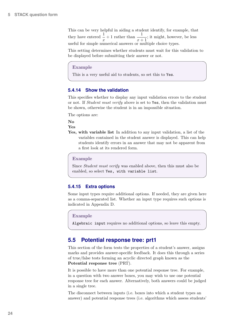<span id="page-23-3"></span>This can be very helpful in aiding a student identify, for example, that they have entered  $\frac{1}{x} + 1$  rather than  $\frac{1}{x+1}$ ; it might, however, be less useful for simple numerical answers or multiple choice types.

This setting determines whether students must wait for this validation to be displayed before submitting their answer or not.

#### Example

This is a very useful aid to students, so set this to Yes.

#### <span id="page-23-0"></span>**5.4.14 Show the validation**

This specifies whether to display any input validation errors to the student or not. If *Student must verify* above is set to Yes, then the validation must be shown, otherwise the student is in an impossible situation.

The options are:

No

Yes

Yes, with variable list In addition to any input validation, a list of the variables contained in the student answer is displayed. This can help students identify errors in an answer that may not be apparent from a first look at its rendered form.

#### Example

Since Student must verify was enabled above, then this must also be enabled, so select Yes, with variable list.

#### <span id="page-23-1"></span>**5.4.15 Extra options**

Some input types require additional options. If needed, they are given here as a comma-separated list. Whether an input type requires such options is indicated in [Appendix D.](#page-40-0)

#### Example

Algebraic input requires no additional options, so leave this empty.

### <span id="page-23-2"></span>**5.5 Potential response tree: prt1**

This section of the form tests the properties of a student's answer, assigns marks and provides answer-specific feedback. It does this through a series of true/false tests forming an acyclic directed graph known as the Potential response tree (PRT).

It is possible to have more than one potential response tree. For example, in a question with two answer boxes, you may wish to use one potential response tree for each answer. Alternatively, both answers could be judged in a single tree.

The disconnect between inputs (i.e. boxes into which a student types an answer) and potential response trees (i.e. algorithms which assess students'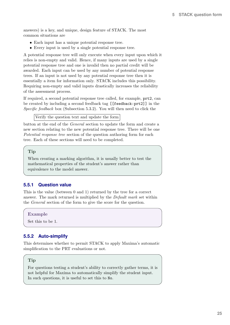<span id="page-24-2"></span>answers) is a key, and unique, design feature of STACK. The most common situations are

- Each input has a unique potential response tree.
- Every input is used by a single potential response tree.

A potential response tree will only execute when every input upon which it relies is non-empty and valid. Hence, if many inputs are used by a single potential response tree and one is invalid then no partial credit will be awarded. Each input can be used by any number of potential response trees. If an input is not used by any potential response tree then it is essentially a item for information only. STACK includes this possibility. Requiring non-empty and valid inputs drastically increases the reliability of the assessment process.

If required, a second potential response tree called, for example, prt2, can be created by including a second feedback tag [[feedback:prt2]] in the Specific feedback box (Subsection [5.3.2\)](#page-16-1). You will then need to click the

Verify the question text and update the form

button at the end of the General section to update the form and create a new section relating to the new potential response tree. There will be one Potential response tree section of the question authoring form for each tree. Each of these sections will need to be completed.

#### Tip

When creating a marking algorithm, it is usually better to test the mathematical properties of the student's answer rather than equivalence to the model answer.

### <span id="page-24-0"></span>**5.5.1 Question value**

This is the value (between 0 and 1) returned by the tree for a correct answer. The mark returned is multiplied by the Default mark set within the General section of the form to give the score for the question.

Example

Set this to be 1.

#### <span id="page-24-1"></span>**5.5.2 Auto-simplify**

This determines whether to permit STACK to apply Maxima's automatic simplification to the PRT evaluations or not.

#### Tip

For questions testing a student's ability to correctly gather terms, it is not helpful for Maxima to automatically simplify the student input. In such questions, it is useful to set this to No.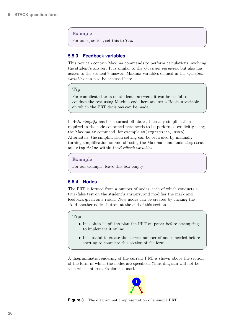#### <span id="page-25-2"></span>Example

For our question, set this to Yes.

#### <span id="page-25-0"></span>**5.5.3 Feedback variables**

This box can contain Maxima commands to perform calculations involving the student's answer. It is similar to the Question variables, but also has access to the student's answer. Maxima variables defined in the Question variables can also be accessed here.

#### Tip

For complicated tests on students' answers, it can be useful to conduct the test using Maxima code here and set a Boolean variable on which the PRT decisions can be made.

If Auto-simplify has been turned off above, then any simplification required in the code contained here needs to be performed explicitly using the Maxima ev command, for example ev(expression, simp). Alternately, the simplification setting can be overruled by manually turning simplification on and off using the Maxima commands simp:true and simp:false within the Feedback variables.

Example

For our example, leave this box empty

### <span id="page-25-1"></span>**5.5.4 Nodes**

The PRT is formed from a number of nodes, each of which conducts a true/false test on the student's answers, and modifies the mark and feedback given as a result. New nodes can be created by clicking the Add another node button at the end of this section.

#### Tips

- It is often helpful to plan the PRT on paper before attempting to implement it online.
- It is useful to create the correct number of nodes needed before starting to complete this section of the form.

A diagrammatic rendering of the current PRT is shown above the section of the form in which the nodes are specified. (This diagram will not be seen when Internet Explorer is used.)



**Figure 3** The diagrammatic representation of a simple PRT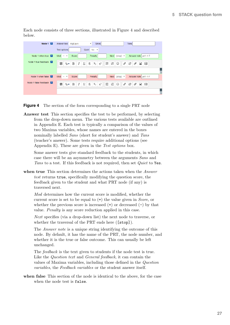<span id="page-26-1"></span>Each node consists of three sections, illustrated in Figure [4](#page-26-0) and described below.

<span id="page-26-0"></span>

**Figure 4** The section of the form corresponding to a single PRT node

Answer test This section specifies the test to be performed, by selecting from the drop-down menu. The various tests available are outlined in [Appendix E.](#page-42-0) Each test is typically a comparison of the values of two Maxima variables, whose names are entered in the boxes nominally labelled *Sans* (short for student's answer) and Tans (teacher's answer). Some tests require additional options (see [Appendix E\)](#page-42-0). These are given in the Test options box.

Some answer tests give standard feedback to the students, in which case there will be an asymmetry between the arguments Sans and Tans to a test. If this feedback is not required, then set *Quiet* to Yes.

when true This section determines the actions taken when the *Answer* test returns true, specifically modifying the question score, the feedback given to the student and what PRT node (if any) is traversed next.

Mod determines how the current score is modified, whether the current score is set to be equal to (=) the value given in Score, or whether the previous score is increased  $(+)$  or decreased  $(-)$  by that value. Penalty is any score reduction applied in this case.

Next specifies (via a drop-down list) the next node to traverse, or whether the traversal of the PRT ends here ([stop]).

The Answer note is a unique string identifying the outcome of this node. By default, it has the name of the PRT, the node number, and whether it is the true or false outcome. This can usually be left unchanged.

The feedback is the text given to students if the node test is true. Like the Question text and General feedback, it can contain the values of Maxima variables, including those defined in the Question variables, the Feedback variables or the student answer itself.

when false This section of the node is identical to the above, for the case when the node test is false.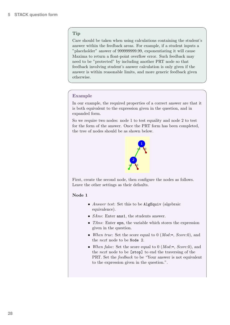### Tip

Care should be taken when using calculations containing the student's answer within the feedback areas. For example, if a student inputs a "placeholder" answer of 999999999.99, exponentiating it will cause Maxima to return a float-point overflow error. Such feedback may need to be "protected" by including another PRT node so that feedback involving student's answer calculation is only given if the answer is within reasonable limits, and more generic feedback given otherwise.

### Example

In our example, the required properties of a correct answer are that it is both equivalent to the expression given in the question, and in expanded form.

So we require two nodes: node 1 to test equality and node 2 to test for the form of the answer. Once the PRT form has been completed, the tree of nodes should be as shown below.



First, create the second node, then configure the nodes as follows. Leave the other settings as their defaults.

#### Node 1

- *Answer test*: Set this to be **AlgEquiv** (algebraic equivalence).
- *SAns*: Enter ans1, the students answer.
- TAns: Enter epn, the variable which stores the expression given in the question.
- When true: Set the score equal to 0 ( $Mod:=, Score: 0$ ), and the next node to be Node 2.
- When false: Set the score equal to  $0$  (*Mod*:=, *Score*:0), and the next node to be [stop] to end the traversing of the PRT. Set the feedback to be "Your answer is not equivalent to the expression given in the question.".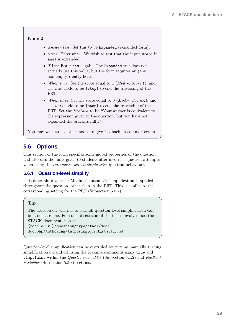#### <span id="page-28-2"></span>Node 2

- Answer test: Set this to be Expanded (expanded form).
- *SAns*: Enter ans1. We wish to test that the input stored in ans1 is expanded.
- TAns: Enter ans1 again. The Expanded test does not actually use this value, but the form requires an (any non-empty!) entry here.
- When true: Set the score equal to 1 (*Mod*:=, *Score*:1), and the next node to be [stop] to end the traversing of the PRT.
- When false: Set the score equal to 0 ( $Mod:=, Score: 0$ ), and the next node to be [stop] to end the traversing of the PRT. Set the feedback to be "Your answer is equivalent to the expression given in the question, but you have not expanded the brackets fully.".

You may wish to use other nodes to give feedback on common errors.

## <span id="page-28-0"></span>**5.6 Options**

This section of the form specifies some global properties of the question and also sets the hints given to students after incorrect question attempts when using the *Interactive with multiple tries* question behaviour.

#### <span id="page-28-1"></span>**5.6.1 Question-level simplify**

This determines whether Maxima's automatic simplification is applied throughout the question, other than in the PRT. This is similar to the corresponding setting for the PRT (Subsection [5.5.2\)](#page-24-1).

### Tip

The decision on whether to turn off question-level simplification can be a delicate one. For some discussion of the issues involved, see the STACK documentation at

```
[moodle-url]/question/type/stack/doc/
doc.php/Authoring/Authoring quick start 3.md
```
Question-level simplification can be overruled by turning manually turning simplification on and off using the Maxima commands simp: true and simp:false within the Question variables (Subsection [5.1.2\)](#page-9-3) and Feedback variables (Subsection [5.5.3\)](#page-25-0) sections.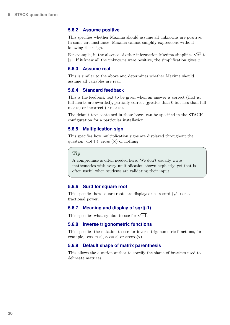#### <span id="page-29-8"></span><span id="page-29-0"></span>**5.6.2 Assume positive**

This specifies whether Maxima should assume all unknowns are positive. In some circumstances, Maxima cannot simplify expressions without knowing their sign.

For example, in the absence of other information Maxima simplifies  $\sqrt{x^2}$  to |x|. If it knew all the unknowns were positive, the simplification gives x.

#### <span id="page-29-1"></span>**5.6.3 Assume real**

This is similar to the above and determines whether Maxima should assume all variables are real.

#### <span id="page-29-2"></span>**5.6.4 Standard feedback**

This is the feedback text to be given when an answer is correct (that is, full marks are awarded), partially correct (greater than 0 but less than full marks) or incorrect (0 marks).

The default text contained in these boxes can be specified in the STACK configuration for a particular installation.

#### <span id="page-29-3"></span>**5.6.5 Multiplication sign**

This specifies how multiplication signs are displayed throughout the question: dot  $(\cdot)$ , cross  $(\times)$  or nothing.

#### Tip

A compromise is often needed here. We don't usually write mathematics with every multiplication shown explicitly, yet that is often useful when students are validating their input.

#### <span id="page-29-4"></span>**5.6.6 Surd for square root**

This specifies how square roots are displayed: as a surd  $(\sqrt{\ })$  or a fractional power.

#### <span id="page-29-5"></span>**5.6.7 Meaning and display of sqrt(-1)**

This specifies what symbol to use for  $\sqrt{-1}$ .

#### <span id="page-29-6"></span>**5.6.8 Inverse trigonometric functions**

This specifies the notation to use for inverse trigonometric functions, for example,  $\cos^{-1}(x)$ ,  $\arccos(x)$  or  $\arccos(x)$ .

#### <span id="page-29-7"></span>**5.6.9 Default shape of matrix parenthesis**

This allows the question author to specify the shape of brackets used to delineate matrices.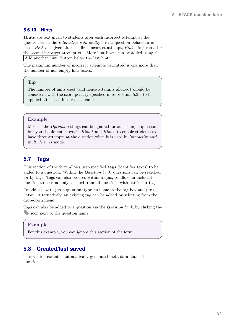### <span id="page-30-3"></span><span id="page-30-0"></span>**5.6.10 Hints**

Hints are text given to students after each incorrect attempt at the question when the Interactive with multiple tries question behaviour is used. *Hint 1* is given after the first incorrect attempt, *Hint 2* is given after the second incorrect attempt etc. More hint boxes can be added using the Add another hint button below the last hint.

The maximum number of incorrect attempts permitted is one more than the number of non-empty hint boxes.

### Tip

The number of hints used (and hence attempts allowed) should be consistent with the score penalty specified in Subsection [5.3.3](#page-16-2) to be applied after each incorrect attempt.

#### Example

Most of the Options settings can be ignored for our example question, but you should enter text in Hint 1 and Hint 2 to enable students to have three attempts at the question when it is used in Interactive with multiple tries mode.

## <span id="page-30-1"></span>**5.7 Tags**

This section of the form allows user-specified tags (identifier texts) to be added to a question. Within the Question bank, questions can be searched for by tags. Tags can also be used within a quiz, to allow an included question to be randomly selected from all questions with particular tags.

To add a new tag to a question, type its name in the tag box and press Enter. Alternatively, an existing tag can be added by selecting from the drop-down menu.

Tags can also be added to a question via the Question bank, by clicking the icon next to the question name.

#### Example

For this example, you can ignore this section of the form.

### <span id="page-30-2"></span>**5.8 Created/last saved**

This section contains automatically generated meta-data about the question.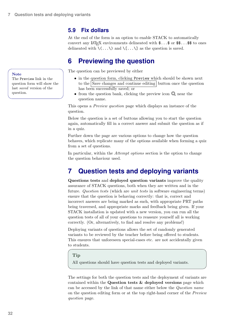## <span id="page-31-3"></span><span id="page-31-0"></span>**5.9 Fix dollars**

At the end of the form is an option to enable STACK to automatically convert any LAT<sub>EX</sub> environments delineated with  $\ldots$  or  $\frac{1}{3}$ ...\$ to ones delineated with  $\langle \ldots \rangle$  and  $\langle \ldots \rangle$  as the question is saved.

## <span id="page-31-1"></span>**6 Previewing the question**

The question can be previewed by either

- in the question form, clicking Preview which should be shown next to the Save changes and continue editing button once the question has been successfully saved; or
- from the question bank, clicking the preview icon  $\bullet$  near the question name.

This opens a *Preview question* page which displays an instance of the question.

Below the question is a set of buttons allowing you to start the question again, automatically fill in a correct answer and submit the question as if in a quiz.

Further down the page are various options to change how the question behaves, which replicate many of the options available when forming a quiz from a set of questions.

In particular, within the *Attempt options* section is the option to change the question behaviour used.

## <span id="page-31-2"></span>**7 Question tests and deploying variants**

Questions tests and deployed question variants improve the quality assurance of STACK questions, both when they are written and in the future. Question tests (which are unit tests in software engineering terms) ensure that the question is behaving correctly: that is, correct and incorrect answers are being marked as such, with appropriate PRT paths being traversed, and appropriate marks and feedback being given. If your STACK installation is updated with a new version, you can run all the question tests of all of your questions to reassure yourself all is working correctly. (Or, alternatively, to find and resolve any problems!)

Deploying variants of questions allows the set of randomly generated variants to be reviewed by the teacher before being offered to students. This ensures that unforeseen special-cases etc. are not accidentally given to students.

### Tip

All questions should have question tests and deployed variants.

The settings for both the question tests and the deployment of variants are contained within the Question tests & deployed versions page which can be accessed by the link of that name either below the Question name on the question editing form or at the top right-hand corner of the Preview question page.

#### **Note**

The Preview link in the question form will show the last saved version of the question.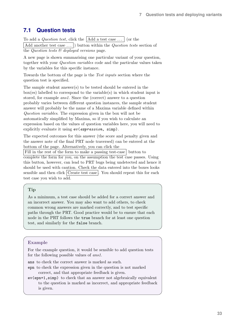## <span id="page-32-1"></span><span id="page-32-0"></span>**7.1 Question tests**

To add a *Question test*, click the  $\vert$  Add a test case ...  $\vert$  (or the

 $\lceil$ Add another test case ... $\rceil$ ) button within the *Question tests* section of the Question tests  $\mathcal{C}$  deployed versions page.

A new page is shown summarising one particular variant of your question, together with your Question variables code and the particular values taken by the variables for this specific instance.

Towards the bottom of the page is the Test inputs section where the question test is specified.

The sample student answer(s) to be tested should be entered in the box(es) labelled to correspond to the variable(s) in which student input is stored, for example ans1. Since the (correct) answer to a question probably varies between different question instances, the sample student answer will probably be the name of a Maxima variable defined within Question variables. The expression given in the box will not be automatically simplified by Maxima, so if you wish to calculate an expression based on the values of question variables here, you will need to explicitly evaluate it using  $ev(expression, simp)$ .

The expected outcomes for this answer (the score and penalty given and the answer note of the final PRT node traversed) can be entered at the bottom of the page. Alternatively, you can click the

Fill in the rest of the form to make a passing test-case button to complete the form for you, on the assumption the test case passes. Using this button, however, can lead to PRT bugs being undetected and hence it should be used with caution. Check the data entered into the boxes looks sensible and then click  $Create test case$ . You should repeat this for each test case you wish to add.

### Tip

As a minimum, a test case should be added for a correct answer and an incorrect answer. You may also want to add others, to check common wrong answers are marked correctly, and to test specific paths through the PRT. Good practice would be to ensure that each node in the PRT follows the true branch for at least one question test, and similarly for the false branch.

#### Example

For the example question, it would be sensible to add question tests for the following possible values of ans1.

ans to check the correct answer is marked as such.

- epn to check the expression given in the question is not marked correct, and that appropriate feedback is given.
- ev(epn+1,simp) to check that an answer not algebraically equivalent to the question is marked as incorrect, and appropriate feedback is given.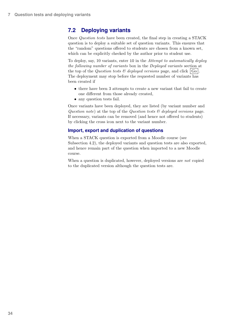## <span id="page-33-1"></span><span id="page-33-0"></span>**7.2 Deploying variants**

Once Question tests have been created, the final step in creating a STACK question is to deploy a suitable set of question variants. This ensures that the "random" questions offered to students are chosen from a known set, which can be explicitly checked by the author prior to student use.

To deploy, say, 10 variants, enter 10 in the Attempt to automatically deploy the following number of variants box in the Deployed variants section at the top of the *Question tests*  $\mathcal{B}$  *deployed versions* page, and click  $|G_0|$ . The deployment may stop before the requested number of variants has been created if

- there have been 3 attempts to create a new variant that fail to create one different from those already created,
- any question tests fail.

Once variants have been deployed, they are listed (by variant number and Question note) at the top of the Question tests  $\mathcal{C}'$  deployed versions page. If necessary, variants can be removed (and hence not offered to students) by clicking the cross icon next to the variant number.

### **Import, export and duplication of questions**

When a STACK question is exported from a Moodle course (see Subsection [4.2\)](#page-8-2), the deployed variants and question tests are also exported, and hence remain part of the question when imported to a new Moodle course.

When a question is duplicated, however, deployed versions are *not* copied to the duplicated version although the question tests are.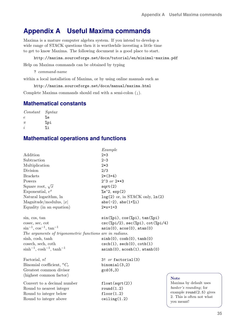## <span id="page-34-1"></span><span id="page-34-0"></span>**Appendix A Useful Maxima commands**

Maxima is a mature computer algebra system. If you intend to develop a wide range of STACK questions then it is worthwhile investing a little time to get to know Maxima. The following document is a good place to start.

#### <http://maxima.sourceforge.net/docs/tutorial/en/minimal-maxima.pdf>

Help on Maxima commands can be obtained by typing

? command-name

within a local installation of Maxima, or by using online manuals such as

<http://maxima.sourceforge.net/docs/manual/maxima.html>

Complete Maxima commands should end with a semi-colon (;).

## **Mathematical constants**

Constant Syntax  $e$  %e  $\pi$  %pi  $i$  % i

## **Mathematical operations and functions**

|                                                          | Example                                                         |
|----------------------------------------------------------|-----------------------------------------------------------------|
| Addition                                                 | $2 + 3$                                                         |
| Subtraction                                              | $2 - 3$                                                         |
| Multiplication                                           | $2*3$                                                           |
| Division                                                 | 2/3                                                             |
| <b>Brackets</b>                                          | $2*(3+4)$                                                       |
| Powers                                                   | $2^3$ or $2**3$                                                 |
| Square root, $\sqrt{x}$                                  | sqrt(2)                                                         |
| Exponential, $e^x$                                       | $%e^2$ , exp(2)                                                 |
| Natural logarithm, ln                                    | $log(2)$ or, in STACK only, $ln(2)$                             |
| Magnitude/modulus, $ x $                                 | $abs(-2)$ , $abs(1+\%i)$                                        |
| Equality (in an equation)                                | $2*x+1=3$                                                       |
| sin, cos, tan                                            | $sin(\%pi), cos(\%pi), tan(\%pi)$                               |
| cosec, sec, cot                                          | $csc(\frac{\%pi}{2}), sec(\frac{\%pi}{2}), cot(\frac{\%pi}{4})$ |
| $\sin^{-1}$ , $\cos^{-1}$ , $\tan^{-1}$                  | asin(0), acos(0), atan(0)                                       |
| The arguments of trigonometric functions are in radians. |                                                                 |
| sinh, cosh, tanh                                         | sinh(0), cosh(0), tanh(0)                                       |
| cosech, sech, coth                                       | $csch(1)$ , $sech(0)$ , $coth(1)$                               |
| $\sinh^{-1}$ , $\cosh^{-1}$ , $\tanh^{-1}$               | $a\sinh(0)$ , $a\cosh(1)$ , $atanh(0)$                          |
| Factorial, $n!$                                          | 3! $or$ factorial $(3)$                                         |
| Binomial coefficient, ${}^nC_r$                          | binomial(3,2)                                                   |
| Greatest common divisor                                  | gcd(6,3)                                                        |
| (highest common factor)                                  |                                                                 |
| Convert to a decimal number                              | float(sqrt(2))                                                  |
| Round to nearest integer                                 | round(1.2)                                                      |
| Round to integer below                                   | floor(1.2)                                                      |
| Round to integer above                                   | ceiling(1.2)                                                    |
|                                                          |                                                                 |

#### **Note**

Maxima by default uses banker's rounding; for example round(2.5) gives 2. This is often not what you meant!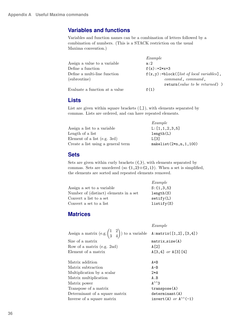## **Variables and functions**

Variables and function names can be a combination of letters followed by a combination of numbers. (This is a STACK restriction on the usual Maxima convention.)

|                                | Example                                     |
|--------------------------------|---------------------------------------------|
| Assign a value to a variable   | a:2                                         |
| Define a function              | $f(x):=2*x+3$                               |
| Define a multi-line function   | $f(x,y)$ :=block([list of local variables], |
| (subroutine)                   | $command, command$ , $command,$             |
|                                | $return(value to be returned)$ )            |
| Evaluate a function at a value | f(1)                                        |

### **Lists**

List are given within square brackets  $([,])$ , with elements separated by commas. Lists are ordered, and can have repeated elements.

|                                    | Example                    |
|------------------------------------|----------------------------|
| Assign a list to a variable        | L: [1,1,2,3,5]             |
| Length of a list                   | length(L)                  |
| Element of a list (e.g. 3rd)       | L [3]                      |
| Create a list using a general term | $makelist(2*n, n, 1, 100)$ |

### **Sets**

Sets are given within curly brackets  $({},S)$ , with elements separated by commas. Sets are unordered (so  $\{1,2\} \equiv \{2,1\}$ ). When a set is simplified, the elements are sorted and repeated elements removed.

|                                        | Example        |
|----------------------------------------|----------------|
| Assign a set to a variable             | $S: \{1,3,5\}$ |
| Number of (distinct) elements in a set | length(S)      |
| Convert a list to a set                | setify(L)      |
| Convert a set to a list                | listify(S)     |

## **Matrices**

|                                                                                                              | Example                             |
|--------------------------------------------------------------------------------------------------------------|-------------------------------------|
| Assign a matrix $(e.g. \begin{pmatrix} 1 & 2 \\ 3 & 4 \end{pmatrix})$ to a variable $A:matrix([1,2], [3,4])$ |                                     |
| Size of a matrix                                                                                             | $matrix_size(A)$                    |
| Row of a matrix (e.g. 2nd)                                                                                   | A [2]                               |
| Element of a matrix                                                                                          | $A[3,4]$ or $A[3][4]$               |
| Matrix addition                                                                                              | $A + B$                             |
| Matrix subtraction                                                                                           | $A - B$                             |
| Multiplication by a scalar                                                                                   | $2*A$                               |
| Matrix multiplication                                                                                        | A.B                                 |
| Matrix power                                                                                                 | $A^{\wedge\wedge}3$                 |
| Transpose of a matrix                                                                                        | transpose(A)                        |
| Determinant of a square matrix                                                                               | determinant(A)                      |
| Inverse of a square matrix                                                                                   | invert(A) or $A^{\wedge\wedge}(-1)$ |
|                                                                                                              |                                     |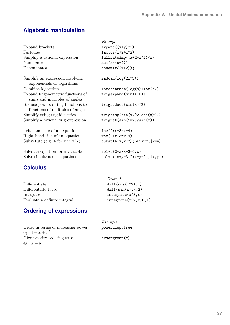## **Algebraic manipulation**

| Expand brackets<br>Factorise<br>Simplify a rational expression<br>Numerator<br>Denominator | Example<br>$expand((x+y)^2)$<br>$factor(x+2*x^2)$<br>fullratsimp $((x+2*x^2)/x)$<br>$num(x/(x+2));$<br>$denom(x/(x+2));$ |
|--------------------------------------------------------------------------------------------|--------------------------------------------------------------------------------------------------------------------------|
| Simplify an expression involving<br>exponentials or logarithms                             | $radcan(log(2x^3))$                                                                                                      |
| Combine logarithms                                                                         | $logcontract(log(a)+log(b))$                                                                                             |
| Expand trigonometric functions of<br>sums and multiples of angles                          | $trigger$ and $(sin(A+B))$                                                                                               |
| Reduce powers of trig functions to<br>functions of multiples of angles                     | trigreduce( $sin(x)$ <sup><math>\land</math></sup> 2)                                                                    |
| Simplify using trig identities                                                             | trigsimp $(sin(x)^2+cos(x)^2)$                                                                                           |
| Simplify a rational trig expression                                                        | $triprat(sin(2*x)/sin(x))$                                                                                               |
| Left-hand side of an equation                                                              | $lhs(2*x+3=x-4)$                                                                                                         |
| Right-hand side of an equation                                                             | $rhs(2*x+3=x-4)$                                                                                                         |
| Substitute (e.g. 4 for x in $x^2$ )                                                        | ${\rm subst}(4, x, x^2);$ or $x^2$ , [x=4]                                                                               |
| Solve an equation for a variable                                                           | $solve(2*ax-3=0,x)$                                                                                                      |
| Solve simultaneous equations                                                               | $solve([x+y=3, 2*x-y=0], [x, y])$                                                                                        |
|                                                                                            |                                                                                                                          |

## **Calculus**

| Differentiate                | $diff(cos(x^2), x)$        |
|------------------------------|----------------------------|
| Differentiate twice          | diff(sin(x), x, 2)         |
| Integrate                    | $integrate(x^3, x)$        |
| Evaluate a definite integral | integrate $(x^2, x, 0, 1)$ |
|                              |                            |

## **Ordering of expressions**

| Order in terms of increasing power |
|------------------------------------|
| eg., $1 + x + x^2$                 |
| Give priority ordering to $x$      |
| eg., $x + y$                       |

| Example                   |
|---------------------------|
| $diff(cos(x^2), x)$       |
| diff(sin(x), x, 2)        |
| $integrate(x^3, x)$       |
| $integrate(x^2, x, 0, 1)$ |
|                           |

| Example<br>powerdisp:true |
|---------------------------|
| order great(x)            |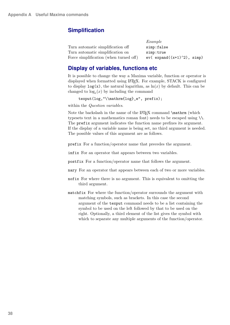## **Simplification**

|                                        | $\sim$ $\sim$ $\sim$ $\sim$ $\sim$ $\sim$ |
|----------------------------------------|-------------------------------------------|
| Turn automatic simplification off      | simp:false                                |
| Turn automatic simplification on       | simp:true                                 |
| Force simplification (when turned off) | $ev($ expand $((x+1)^2)$ , simp)          |

Example

## **Display of variables, functions etc**

It is possible to change the way a Maxima variable, function or operator is displayed when formatted using LAT<sub>EX</sub>. For example, STACK is configured to display  $log(x)$ , the natural logarithm, as  $ln(x)$  by default. This can be changed to  $log_e(x)$  by including the command

```
texput(log,"\\mathrm{log}_e", prefix);
```
within the *Question variables*.

Note the backslash in the name of the LAT<sub>EX</sub> command \mathrm (which typesets text in a mathematics roman font) needs to be escaped using  $\setminus\mathcal{L}$ . The prefix argument indicates the function name prefixes its argument. If the display of a variable name is being set, no third argument is needed. The possible values of this argument are as follows.

prefix For a function/operator name that precedes the argument.

infix For an operator that appears between two variables.

postfix For a function/operator name that follows the argument.

- nary For an operator that appears between each of two or more variables.
- nofix For where there is no argument. This is equivalent to omitting the third argument.
- matchfix For where the function/operator surrounds the argument with matching symbols, such as brackets. In this case the second argument of the texput command needs to be a list containing the symbol to be used on the left followed by that to be used on the right. Optionally, a third element of the list gives the symbol with which to separate any multiple arguments of the function/operator.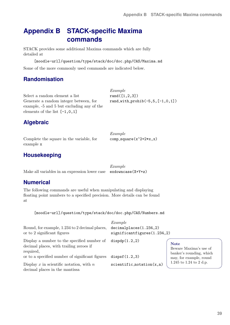## <span id="page-38-1"></span><span id="page-38-0"></span>**Appendix B STACK-specific Maxima commands**

STACK provides some additional Maxima commands which are fully detailed at

[moodle-url]/question/type/stack/doc/doc.php/CAS/Maxima.md

Some of the more commonly used commands are indicated below.

## **Randomisation**

Select a random element a list  $\qquad \qquad \text{rand}([1,2,3])$ Generate a random integer between, for example, -5 and 5 but excluding any of the elements of the list [-1,0,1]

Example rand\_with\_prohib $(-5,5,[-1,0,1])$ 

## **Algebraic**

Complete the square in the variable, for example x

## **Housekeeping**

Make all variables in an expression lower case exdowncase  $(X+Y+z)$ 

Example

comp\_square $(x^2+2*x,x)$ 

Example

## **Numerical**

The following commands are useful when manipulating and displaying floating point numbers to a specified precision. More details can be found at

[moodle-url]/question/type/stack/doc/doc.php/CAS/Numbers.md

| Round, for example, 1.234 to 2 decimal places,<br>or to 2 significant figures | Example<br>decimal places(1.234, 2)<br>significance(1.234,2) |
|-------------------------------------------------------------------------------|--------------------------------------------------------------|
| Display a number to the specified number of                                   | display(1.2,2)                                               |
| decimal places, with trailing zeroes if                                       | $\mathbf{N}$ o                                               |
| required,                                                                     | <b>Be</b>                                                    |
| or to a specified number of significant figures                               | bar<br>dispsf(1.2,3)<br>ma                                   |
| Display $x$ in scientific notation, with $n$                                  | 1.2                                                          |
| decimal places in the mantissa                                                | $scientific\_notation(x, n)$                                 |

#### <sub>ote</sub>

ware Maxima's use of hker's rounding, which y, for example, round 45 to 1.24 to 2 d.p.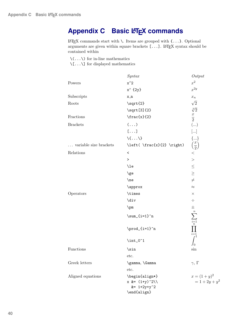## <span id="page-39-1"></span><span id="page-39-0"></span>**Appendix C Basic LATEX commands**

LATEX commands start with \. Items are grouped with  $\{\ldots\}$ . Optional arguments are given within square brackets  $[\dots]$ . LAT<sub>E</sub>X syntax should be contained within

 $\setminus (\ldots \setminus)$  for in-line mathematics

 $\setminus$  [  $\ldots$   $\setminus$  ] for displayed mathematics

|                                 | Syntax                                                           | Output                                       |
|---------------------------------|------------------------------------------------------------------|----------------------------------------------|
| Powers                          | $x^2$                                                            | $x^2$                                        |
|                                 | $x^{\wedge}$ {2y}                                                | $x^{2y}$                                     |
| Subscripts                      | $x_n$                                                            | $x_n$                                        |
| Roots                           | \sqrt{2}                                                         | $\sqrt{2}$                                   |
|                                 | $\sqrt{\sqrt{3}}$                                                | $\sqrt[3]{2}$                                |
| Fractions                       | $\frac{x}{2}$                                                    | $\frac{x}{2}$                                |
| <b>Brackets</b>                 | $(\ldots)$                                                       | $(\ldots)$                                   |
|                                 | $[\ldots]$                                                       | $[\ldots]$                                   |
|                                 | $\langle \{ \ldots \} \rangle$                                   | $\{\}$                                       |
| $\ldots$ variable size brackets | $\left( \frac{x}{2} \right)$                                     | $\left(\frac{x}{2}\right)$                   |
| Relations                       | $\,<\,$                                                          | $<\,$                                        |
|                                 | $\, >$                                                           | $\geq$                                       |
|                                 | $\mathcal{L}$                                                    |                                              |
|                                 | \ge                                                              | $\leq$                                       |
|                                 | $\neq$                                                           | $\neq$                                       |
|                                 | \approx                                                          | $\approx$                                    |
| Operators                       | \times                                                           | $\times$                                     |
|                                 | \div                                                             | $\div$                                       |
|                                 | $\pm$                                                            | $\pm$                                        |
|                                 | $\sum_{i=1}^n$                                                   | $\sum_{i=1}^n$                               |
|                                 | \prod_{i=1}^n                                                    | $i=1$                                        |
|                                 | \int_0^1                                                         | JO                                           |
| Functions                       | \sin                                                             | sin                                          |
|                                 | etc.                                                             |                                              |
| Greek letters                   | \gamma, \Gamma                                                   | $\gamma, \Gamma$                             |
|                                 | etc.                                                             |                                              |
| Aligned equations               | \begin{align*}<br>x &= $(1+y)^2$<br>$&= 1+2y+y^2$<br>\end{align} | $x = (1 + y)^2$<br>= 1 + 2y + y <sup>2</sup> |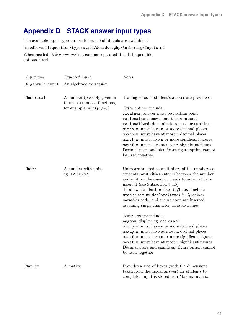## <span id="page-40-1"></span><span id="page-40-0"></span>**Appendix D STACK answer input types**

The available input types are as follows. Full details are available at [moodle-url]/question/type/stack/doc/doc.php/Authoring/Inputs.md When needed, *Extra options* is a comma-separated list of the possible options listed.

| Input type      | <i>Expected input</i>                                                                   | <b>Notes</b>                                                                                                                                                                                                                                                                                                                                                                                                                                                                                                         |
|-----------------|-----------------------------------------------------------------------------------------|----------------------------------------------------------------------------------------------------------------------------------------------------------------------------------------------------------------------------------------------------------------------------------------------------------------------------------------------------------------------------------------------------------------------------------------------------------------------------------------------------------------------|
| Algebraic input | An algebraic expression                                                                 |                                                                                                                                                                                                                                                                                                                                                                                                                                                                                                                      |
| Numerical       | A number (possibly given in<br>terms of standard functions,<br>for example, $sin(pi/4)$ | Trailing zeros in student's answer are preserved.<br><i>Extra options</i> include:<br>floatnum, answer must be floating-point<br>rationalnum, answer must be a rational<br>rationalized, denominators must be surd-free<br>$mindp:n$ , must have n or more decimal places<br>$maxdp:n$ , must have at most n decimal places<br>$minsf:n$ , must have n or more significant figures<br>$maxsf:n$ , must have at most n significant figures<br>Decimal place and significant figure option cannot<br>be used together. |
| Units           | A number with units<br>eg, $12.1 m/s^2$                                                 | Units are treated as multipliers of the number, so<br>students must either enter $*$ between the number<br>and unit, or the question needs to automatically<br>insert it (see Subsection $5.4.5$ ).<br>To allow standard prefixes (k,M etc.) include<br>stack_unit_si_declare(true) in $Question$<br><i>variables</i> code, and ensure stars are inserted<br>assuming single character variable names.                                                                                                               |
|                 |                                                                                         | <i>Extra options</i> include:<br>negpow, display, eg., $m/s$ as $ms^{-1}$<br>$mindp:n$ , must have n or more decimal places<br>$maxdp:n$ , must have at most n decimal places<br>$minsf:n$ , must have n or more significant figures<br>maxsf:n, must have at most n significant figures<br>Decimal place and significant figure option cannot<br>be used together.                                                                                                                                                  |
| Matrix          | A matrix                                                                                | Provides a grid of boxes (with the dimensions)<br>taken from the model answer) for students to<br>complete. Input is stored as a Maxima matrix.                                                                                                                                                                                                                                                                                                                                                                      |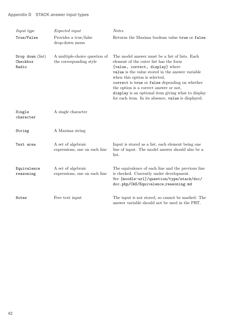## **Appendix D STACK answer input types**

| Input type<br>True/False                | <i>Expected input</i><br>Provides a true/false<br>drop-down menu | <b>Notes</b><br>Returns the Maxima boolean value true or false                                                                                                                                                                                                                                                                                                                                                          |
|-----------------------------------------|------------------------------------------------------------------|-------------------------------------------------------------------------------------------------------------------------------------------------------------------------------------------------------------------------------------------------------------------------------------------------------------------------------------------------------------------------------------------------------------------------|
| Drop down $(list)$<br>Checkbox<br>Radio | A multiple-choice question of<br>the corresponding style         | The model answer must be a list of lists. Each<br>element of the outer list has the form<br>[value, correct, display] where<br>value is the value stored in the answer variable<br>when this option is selected,<br>correct is true or false depending on whether<br>the option is a correct answer or not,<br>display is an optional item giving what to display<br>for each item. In its absence, value is displayed. |
| Single<br>character                     | A single character                                               |                                                                                                                                                                                                                                                                                                                                                                                                                         |
| String                                  | A Maxima string                                                  |                                                                                                                                                                                                                                                                                                                                                                                                                         |
| Text area                               | A set of algebraic<br>expressions, one on each line              | Input is stored as a list, each element being one<br>line of input. The model answer should also be a<br>list.                                                                                                                                                                                                                                                                                                          |
| Equivalence<br>reasoning                | A set of algebraic<br>expressions, one on each line              | The equivalence of each line and the previous line<br>is checked. Currently under development.<br>See [moodle-url]/question/type/stack/doc/<br>doc.php/CAS/Equivalence_reasoning.md                                                                                                                                                                                                                                     |
| Notes                                   | Free text input                                                  | The input is not stored, so cannot be marked. The<br>answer variable should not be used in the PRT.                                                                                                                                                                                                                                                                                                                     |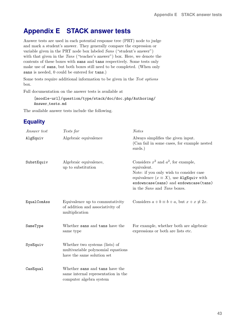## <span id="page-42-1"></span><span id="page-42-0"></span>**Appendix E STACK answer tests**

Answer tests are used in each potential response tree (PRT) node to judge and mark a student's answer. They generally compare the expression or variable given in the PRT node box labeled Sans ("student's answer") with that given in the Tans ("teacher's answer") box. Here, we denote the contents of these boxes with sans and tans respectively. Some tests only make use of sans, but both boxes still need to be completed. (When only sans is needed, 0 could be entered for tans.)

Some tests require additional information to be given in the Test options box.

Full documentation on the answer tests is available at

```
[moodle-url]/question/type/stack/doc/doc.php/Authoring/
Answer_tests.md
```
The available answer tests include the following.

## **Equality**

| Answer test | Tests for                                                                                          | <b>Notes</b>                                                                                                                                                                                                                               |
|-------------|----------------------------------------------------------------------------------------------------|--------------------------------------------------------------------------------------------------------------------------------------------------------------------------------------------------------------------------------------------|
| AlgEquiv    | Algebraic equivalence                                                                              | Always simplifies the given input.<br>(Can fail in some cases, for example nested)<br>surds.)                                                                                                                                              |
| SubstEquiv  | Algebraic equivalence,<br>up to substitution                                                       | Considers $x^2$ and $a^2$ , for example,<br>equivalent.<br>Note: if you only wish to consider case<br>equivalence $(x \equiv X)$ , use AlgEquiv with<br>exdowncase(sans) and exdowncase(tans)<br>in the <i>Sans</i> and <i>Tans</i> boxes. |
| EqualComAss | Equivalence up to commutativity<br>of addition and associativity of<br>multiplication              | Considers $a + b \equiv b + a$ , but $x + x \not\equiv 2x$ .                                                                                                                                                                               |
| SameType    | Whether sans and tans have the<br>same type                                                        | For example, whether both are algebraic<br>expressions or both are lists etc.                                                                                                                                                              |
| SysEquiv    | Whether two systems (lists) of<br>multivariable polynomial equations<br>have the same solution set |                                                                                                                                                                                                                                            |
| CasEqual    | Whether sans and tans have the<br>same internal representation in the<br>computer algebra system   |                                                                                                                                                                                                                                            |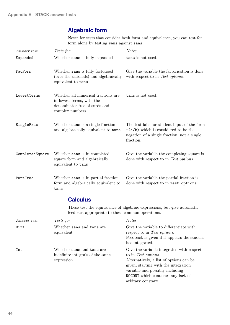## **Algebraic form**

Note: for tests that consider both form and equivalence, you can test for form alone by testing sans against sans.

| Answer test        | Tests for                                                                                                            | <b>Notes</b>                                                                                                                                                                                                                                     |
|--------------------|----------------------------------------------------------------------------------------------------------------------|--------------------------------------------------------------------------------------------------------------------------------------------------------------------------------------------------------------------------------------------------|
| Expanded           | Whether sans is fully expanded                                                                                       | tans is not used.                                                                                                                                                                                                                                |
| FacForm            | Whether sans is fully factorised<br>(over the rationals) and algebraically<br>equivalent to tans                     | Give the variable the factorization is done<br>with respect to in Test options.                                                                                                                                                                  |
| LowestTerms        | Whether all numerical fractions are<br>in lowest terms, with the<br>denominator free of surds and<br>complex numbers | tans is not used.                                                                                                                                                                                                                                |
| SingleFrac         | Whether sans is a single fraction<br>and algebraically equivalent to tans                                            | The test fails for student input of the form<br>$-(a/b)$ which is considered to be the<br>negation of a single fraction, not a single<br>fraction.                                                                                               |
| CompletedSquare    | Whether sans is in completed<br>square form and algebraically<br>equivalent to tans                                  | Give the variable the completing square is<br>done with respect to in Test options.                                                                                                                                                              |
| PartFrac           | Whether sans is in partial fraction<br>form and algebraically equivalent to<br>tans                                  | Give the variable the partial fraction is<br>done with respect to in Test options.                                                                                                                                                               |
|                    | <b>Calculus</b>                                                                                                      |                                                                                                                                                                                                                                                  |
|                    | feedback appropriate to these common operations.                                                                     | These test the equivalence of algebraic expressions, but give automatic                                                                                                                                                                          |
| <i>Answer test</i> | <i>Tests for</i>                                                                                                     | <i>Notes</i>                                                                                                                                                                                                                                     |
| Diff               | Whether sans and tans are<br>equivalent                                                                              | Give the variable to differentiate with<br>respect to in Test options.<br>Feedback is given if it appears the student<br>has integrated.                                                                                                         |
| Int                | Whether sans and tans are<br>indefinite integrals of the same<br>expression.                                         | Give the variable integrated with respect<br>to in Test options.<br>Alternatively, a list of options can be<br>given, starting with the integration<br>variable and possibly including<br>NOCONT which condones any lack of<br>arbitary constant |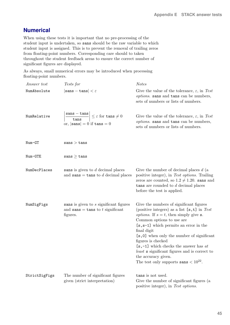## **Numerical**

When using these tests it is important that no pre-processing of the student input is undertaken, so sans should be the raw variable to which student input is assigned. This is to prevent the removal of trailing zeros from floating-point numbers. Corresponding care should to taken throughout the student feedback areas to ensure the correct number of significant figures are displayed.

As always, small numerical errors may be introduced when processing floating-point numbers.

| Answer test   | Tests for                                                                                                                                                          | <b>Notes</b>                                                                                                                                                                                                                                                                                                                                                                                                                                                                              |
|---------------|--------------------------------------------------------------------------------------------------------------------------------------------------------------------|-------------------------------------------------------------------------------------------------------------------------------------------------------------------------------------------------------------------------------------------------------------------------------------------------------------------------------------------------------------------------------------------------------------------------------------------------------------------------------------------|
| NumAbsolute   | $ \texttt{sans} - \texttt{tans}  < \varepsilon$                                                                                                                    | Give the value of the tolerance, $\varepsilon$ , in Test<br>options. sans and tans can be numbers,<br>sets of numbers or lists of numbers.                                                                                                                                                                                                                                                                                                                                                |
| NumRelative   | $\begin{array}{c c}\n\texttt{sans} - \texttt{tans} & \leq \varepsilon \text{ for } \texttt{tans} \neq 0\n\end{array}$<br>or, $ \texttt{sans}  = 0$ if $\tan s = 0$ | Give the value of the tolerance, $\varepsilon$ , in Test<br>options. sans and tans can be numbers,<br>sets of numbers or lists of numbers.                                                                                                                                                                                                                                                                                                                                                |
| $Num-GT$      | sans > tans                                                                                                                                                        |                                                                                                                                                                                                                                                                                                                                                                                                                                                                                           |
| $Num-GTE$     | $sans \geq tans$                                                                                                                                                   |                                                                                                                                                                                                                                                                                                                                                                                                                                                                                           |
| NumDecPlaces  | sans is given to $d$ decimal places<br>and $\texttt{sans} = \texttt{tans}$ to d decimal places                                                                     | Give the number of decimal places $d$ (a<br>positive integer), in Test options. Trailing<br>zeros are counted, so $1.2 \neq 1.20$ . sans and<br>tans are rounded to $d$ decimal places<br>before the test is applied.                                                                                                                                                                                                                                                                     |
| NumSigFigs    | sans is given to s significant figures<br>and sans = tans to $t$ significant<br>figures.                                                                           | Give the numbers of significant figures<br>(positive integers) as a list $[s, t]$ in Test<br><i>options</i> . If $s = t$ , then simply give <b>s</b> .<br>Common options to use are<br>$[s, s-1]$ which permits an error in the<br>final digit<br>[s,0] when only the number of significant<br>figures is checked<br>$[s, -1]$ which checks the answer has at<br><i>least</i> s significant figures and is correct to<br>the accuracy given.<br>The test only supports sans $< 10^{22}$ . |
| StrictSigFigs | The number of significant figures<br>given (strict interpretation)                                                                                                 | tans is not used.<br>Give the number of significant figures (a<br>positive integer), in Test options.                                                                                                                                                                                                                                                                                                                                                                                     |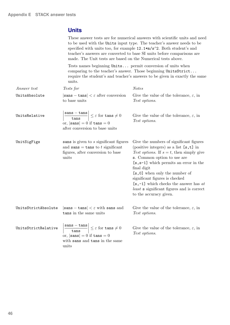## **Units**

|                     | These answer tests are for numerical answers with scientific units and need<br>to be used with the Units input type. The teacher's answer needs to be<br>specified with units too, for example 12.1*m/s^2. Both student's and<br>teacher's answers are converted to base SI units before comparisons are<br>made. The Unit tests are based on the Numerical tests above. |                                                                                                                                                                                                                                                                                                                                                                                                                             |
|---------------------|--------------------------------------------------------------------------------------------------------------------------------------------------------------------------------------------------------------------------------------------------------------------------------------------------------------------------------------------------------------------------|-----------------------------------------------------------------------------------------------------------------------------------------------------------------------------------------------------------------------------------------------------------------------------------------------------------------------------------------------------------------------------------------------------------------------------|
|                     | Tests names beginning Units permit conversion of units when<br>units.                                                                                                                                                                                                                                                                                                    | comparing to the teacher's answer. Those beginning UnitsStrict<br>require the student's and teacher's answers to be given in exactly the same                                                                                                                                                                                                                                                                               |
| Answer test         | Tests for                                                                                                                                                                                                                                                                                                                                                                | <b>Notes</b>                                                                                                                                                                                                                                                                                                                                                                                                                |
| UnitsAbsolute       | $ \text{sans} - \text{tans}  < \varepsilon$ after conversion<br>to base units                                                                                                                                                                                                                                                                                            | Give the value of the tolerance, $\varepsilon$ , in<br>Test options.                                                                                                                                                                                                                                                                                                                                                        |
| UnitsRelative       | $\left \frac{\text{sans} - \text{tans}}{\text{tans}}\right  \leq \varepsilon \text{ for } \text{tans} \neq 0$<br>or, $ \texttt{sans}  = 0$ if $\tan s = 0$<br>after conversion to base units                                                                                                                                                                             | Give the value of the tolerance, $\varepsilon$ , in<br>Test options.                                                                                                                                                                                                                                                                                                                                                        |
| UnitSigFigs         | sans is given to s significant figures<br>and sans = tans to t significant<br>figures, after conversion to base<br>units                                                                                                                                                                                                                                                 | Give the numbers of significant figures<br>(positive integers) as a list $[s, t]$ in<br>Test options. If $s = t$ , then simply give<br>s. Common option to use are<br>$[s, s-1]$ which permits an error in the<br>final digit<br>[s,0] when only the number of<br>significant figures is checked<br>$[s, -1]$ which checks the answer has at<br><i>least</i> s significant figures and is correct<br>to the accuracy given. |
| UnitsStrictAbsolute | $ \texttt{sans} - \texttt{tans}  < \varepsilon$ with sans and<br>tans in the same units                                                                                                                                                                                                                                                                                  | Give the value of the tolerance, $\varepsilon,$ in<br>Test options.                                                                                                                                                                                                                                                                                                                                                         |
| UnitsStrictRelative | $\label{eq:10} \begin{array}{ c c c }\hline \texttt{sans} - \texttt{tans} &\\\hline \hline \texttt{.} &\texttt{.} &\end{array}\Big  \leq \varepsilon \text{ for } \texttt{tans} \neq 0$<br>tans<br>or, $ \text{sans}  = 0$ if $\tan s = 0$<br>with sans and tans in the same                                                                                             | Give the value of the tolerance, $\varepsilon$ , in<br>Test options.                                                                                                                                                                                                                                                                                                                                                        |

units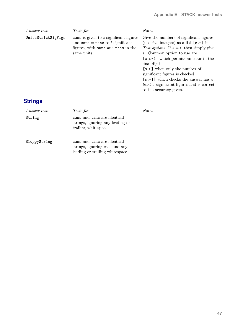| <i>Answer test</i> | Tests for                                                                                                                                          | <b>Notes</b>                                                                                                                                                                                                                                                                                                                                                                                                                |
|--------------------|----------------------------------------------------------------------------------------------------------------------------------------------------|-----------------------------------------------------------------------------------------------------------------------------------------------------------------------------------------------------------------------------------------------------------------------------------------------------------------------------------------------------------------------------------------------------------------------------|
| UnitsStrictSigFigs | sans is given to s significant figures<br>and $\texttt{sans} = \texttt{tans}$ to t significant<br>figures, with sans and tans in the<br>same units | Give the numbers of significant figures<br>(positive integers) as a list $[s, t]$ in<br>Test options. If $s = t$ , then simply give<br>s. Common option to use are<br>$[s, s-1]$ which permits an error in the<br>final digit<br>[s,0] when only the number of<br>significant figures is checked<br>$[s, -1]$ which checks the answer has at<br><i>least</i> s significant figures and is correct<br>to the accuracy given. |
| Strings            |                                                                                                                                                    |                                                                                                                                                                                                                                                                                                                                                                                                                             |
| <i>Answer test</i> | Tests for                                                                                                                                          | <b>Notes</b>                                                                                                                                                                                                                                                                                                                                                                                                                |
| String             | sans and tans are identical<br>strings, ignoring any leading or<br>trailing whitespace                                                             |                                                                                                                                                                                                                                                                                                                                                                                                                             |

SloppyString sans and tans are identical strings, ignoring case and any leading or trailing whitespace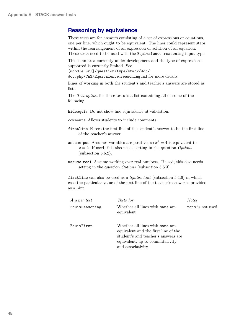## <span id="page-47-0"></span>**Reasoning by equivalence**

These tests are for answers consisting of a set of expressions or equations, one per line, which ought to be equivalent. The lines could represent steps within the rearrangement of an expression or solution of an equation. These tests need to be used with the Equivalence reasoning input type.

This is an area currently under development and the type of expressions supported is currently limited. See

```
[moodle-url]/question/type/stack/doc/
```
doc.php/CAS/Equivalence\_reasoning.md for more details.

Lines of working in both the student's and teacher's answers are stored as lists.

The Test option for these tests is a list containing all or some of the following

hideequiv Do not show line equivalence at validation.

comments Allows students to include comments.

- firstline Forces the first line of the student's answer to be the first line of the teacher's answer.
- assume pos Assumes variables are positive, so  $x^2 = 4$  is equivalent to  $x = 2$ . If used, this also needs setting in the question *Options* (subsection [5.6.2\)](#page-29-0).
- assume real Assume working over real numbers. If used, this also needs setting in the question *Options* (subsection [5.6.3\)](#page-29-1).

firstline can also be used as a  $Syn tax hint$  (subsection [5.4.6\)](#page-20-0) in which case the particular value of the first line of the teacher's answer is provided as a hint.

| <i>Answer test</i> | Tests for                                                                                                                                                               | <i>Notes</i>      |
|--------------------|-------------------------------------------------------------------------------------------------------------------------------------------------------------------------|-------------------|
| EquivReasoning     | Whether all lines with sans are<br>equivalent                                                                                                                           | tans is not used. |
| EquivFirst         | Whether all lines with sans are<br>equivalent and the first line of the<br>student's and teacher's answers are<br>equivalent, up to commutativity<br>and associativity. |                   |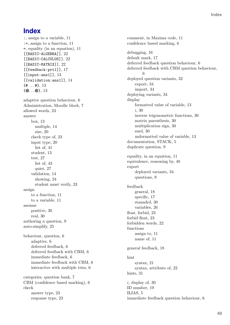## **Index**

:, assign to a variable, [11](#page-10-0) :=, assign to a function, [11](#page-10-0) =, equality (in an equation), [11](#page-10-0) [[BASIC-ALGEBRA]], [22](#page-21-2) [[BASIC-CALCULUS]], [22](#page-21-2) [[BASIC-MATRIX]], [22](#page-21-2) [[feedback:prt1]], [17](#page-16-3)  $[\text{input:ans1}]]$ , [13](#page-12-2) [[validation:ans1]], [14](#page-13-1)  $\{$  # . . . # }, [13](#page-12-2)  $\{Q_{\ldots}, Q\}, 13$  $\{Q_{\ldots}, Q\}, 13$ adaptive question behaviour, [6](#page-5-1) Administration, Moodle block, [7](#page-6-1) allowed words, [23](#page-22-5) answer box, [13](#page-12-2) multiple, [14](#page-13-1) size, [20](#page-19-5) check type of, [23](#page-22-5) input type, [20](#page-19-5) list of, [41](#page-40-1) student, [13](#page-12-2) test, [27](#page-26-1) list of, [43](#page-42-1) quiet, [27](#page-26-1) validation, [14](#page-13-1) showing, [24](#page-23-3) student must verify, [23](#page-22-5) assign to a function, [11](#page-10-0) to a variable, [11](#page-10-0) assume positive, [30](#page-29-8) real, [30](#page-29-8) authoring a question, [9](#page-8-3) auto-simplify, [25](#page-24-2) behaviour, question, [6](#page-5-1) adaptive, [6](#page-5-1) deferred feedback, [6](#page-5-1) deferred feedback with CBM, [6](#page-5-1) immediate feedback, [6](#page-5-1) immediate feedback with CBM, [6](#page-5-1) interactive with multiple tries, [6](#page-5-1) categories, question bank, [7](#page-6-1) CBM (confidence based marking), [6](#page-5-1) check answer type, [23](#page-22-5) response type, [23](#page-22-5)

comment, in Maxima code, [11](#page-10-0) confidence based marking, [6](#page-5-1) debugging, [16](#page-15-3) default mark, [17](#page-16-3) deferred feedback question behaviour, [6](#page-5-1) deferred feedback with CBM question behaviour, [6](#page-5-1) deployed question variants, [32](#page-31-3) export, [34](#page-33-1) import, [34](#page-33-1) deploying variants, [34](#page-33-1) display formatted value of variable, [13](#page-12-2) i, [30](#page-29-8) inverse trigonometric functions, [30](#page-29-8) matrix parenthesis, [30](#page-29-8) multiplication sign, [30](#page-29-8) surd, [30](#page-29-8) unformatted value of variable, [13](#page-12-2) documentation, STACK, [5](#page-4-1) duplicate question, [9](#page-8-3) equality, in an equation, [11](#page-10-0) equivalence, reasoning by, [48](#page-47-0) export deployed variants, [34](#page-33-1) questions, [9](#page-8-3) feedback general, [18](#page-17-1) specific, [17](#page-16-3) stanadrd, [30](#page-29-8) variables, [26](#page-25-2) float, forbid, [23](#page-22-5) forbid float, [23](#page-22-5) forbidden words, [22](#page-21-2) functions assign to, [11](#page-10-0) name of, [11](#page-10-0) general feedback, [18](#page-17-1) hint syntax, [21](#page-20-1) syntax, attribute of, [22](#page-21-2) hints, [31](#page-30-3) i, display of, [30](#page-29-8) ID number, [19](#page-18-3) ILIAS, [5](#page-4-1) immediate feedback question behaviour, [6](#page-5-1)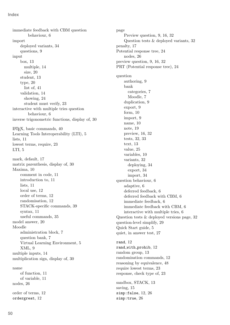immediate feedback with CBM question behaviour, [6](#page-5-1) import deployed variants, [34](#page-33-1) questions, [9](#page-8-3) input box, [13](#page-12-2) multiple, [14](#page-13-1) size, [20](#page-19-5) student, [13](#page-12-2) type, [20](#page-19-5) list of, [41](#page-40-1) validation, [14](#page-13-1) showing, [24](#page-23-3) student must verify, [23](#page-22-5) interactive with multiple tries question behaviour, [6](#page-5-1) inverse trigonometric functions, display of, [30](#page-29-8) LATEX, basic commands, [40](#page-39-1) Learning Tools Interoperability (LTI), [5](#page-4-1) lists, [11](#page-10-0) lowest terms, require, [23](#page-22-5) LTI, [5](#page-4-1) mark, default, [17](#page-16-3) matrix parenthesis, display of, [30](#page-29-8) Maxima, [10](#page-9-4) comment in code, [11](#page-10-0) introduction to, [11](#page-10-0) lists, [11](#page-10-0) local use, [12](#page-11-0) order of terms, [12](#page-11-0) randomisation, [12](#page-11-0) STACK-specific commands, [39](#page-38-1) syntax, [11](#page-10-0) useful commands, [35](#page-34-1) model answer, [20](#page-19-5) Moodle administration block, [7](#page-6-1) question bank, [7](#page-6-1) Virtual Learning Environment, [5](#page-4-1) XML, [9](#page-8-3) multiple inputs, [14](#page-13-1) multiplication sign, display of, [30](#page-29-8) name of function, [11](#page-10-0) of variable, [11](#page-10-0) nodes, [26](#page-25-2) order of terms, [12](#page-11-0) ordergreat, [12](#page-11-0)

page Preview question, [9,](#page-8-3) [16,](#page-15-3) [32](#page-31-3) Question tests & deployed variants, [32](#page-31-3) penalty, [17](#page-16-3) Potential response tree, [24](#page-23-3) nodes, [26](#page-25-2) preview question, [9,](#page-8-3) [16,](#page-15-3) [32](#page-31-3) PRT (Potential response tree), [24](#page-23-3) question authoring, [9](#page-8-3) bank categories, [7](#page-6-1) Moodle, [7](#page-6-1) duplication, [9](#page-8-3) export, [9](#page-8-3) form, [10](#page-9-4) import, [9](#page-8-3) name, [10](#page-9-4) note, [19](#page-18-3) preview, [16,](#page-15-3) [32](#page-31-3) tests, [32,](#page-31-3) [33](#page-32-1) text, [13](#page-12-2) value, [25](#page-24-2) variables, [10](#page-9-4) variants, [32](#page-31-3) deploying, [34](#page-33-1) export, [34](#page-33-1) import, [34](#page-33-1) question behaviour, [6](#page-5-1) adaptive, [6](#page-5-1) deferred feedback, [6](#page-5-1) deferred feedback with CBM, [6](#page-5-1) immediate feedback, [6](#page-5-1) immediate feedback with CBM, [6](#page-5-1) interactive with multiple tries, [6](#page-5-1) Question tests & deployed versions page, [32](#page-31-3) question-level simplify, [29](#page-28-2) Quick Start guide, [5](#page-4-1) quiet, in answer test, [27](#page-26-1)

rand, [12](#page-11-0) rand with prohib, [12](#page-11-0) random group, [13](#page-12-2) randomisation commands, [12](#page-11-0) reasoning by equivalence, [48](#page-47-0) require lowest terms, [23](#page-22-5) response, check type of, [23](#page-22-5)

sandbox, STACK, [13](#page-12-2) saving, [15](#page-14-1) simp:false, [12,](#page-11-0) [26](#page-25-2) simp:true, [26](#page-25-2)